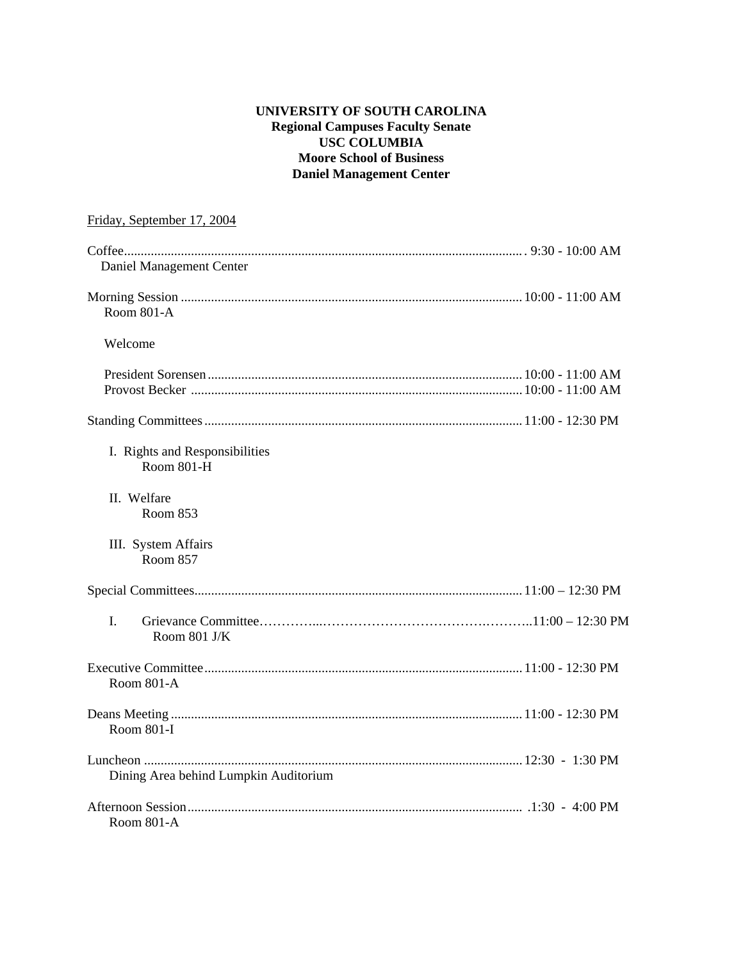#### **UNIVERSITY OF SOUTH CAROLINA Regional Campuses Faculty Senate USC COLUMBIA Moore School of Business Daniel Management Center**

| Friday, September 17, 2004                   |  |
|----------------------------------------------|--|
| Daniel Management Center                     |  |
| <b>Room 801-A</b>                            |  |
| Welcome                                      |  |
|                                              |  |
|                                              |  |
| I. Rights and Responsibilities<br>Room 801-H |  |
| II. Welfare<br>Room 853                      |  |
| III. System Affairs<br>Room 857              |  |
|                                              |  |
| L<br>Room $801$ J/K                          |  |
| Room 801-A                                   |  |
| <b>Room 801-I</b>                            |  |
| Dining Area behind Lumpkin Auditorium        |  |
| Room 801-A                                   |  |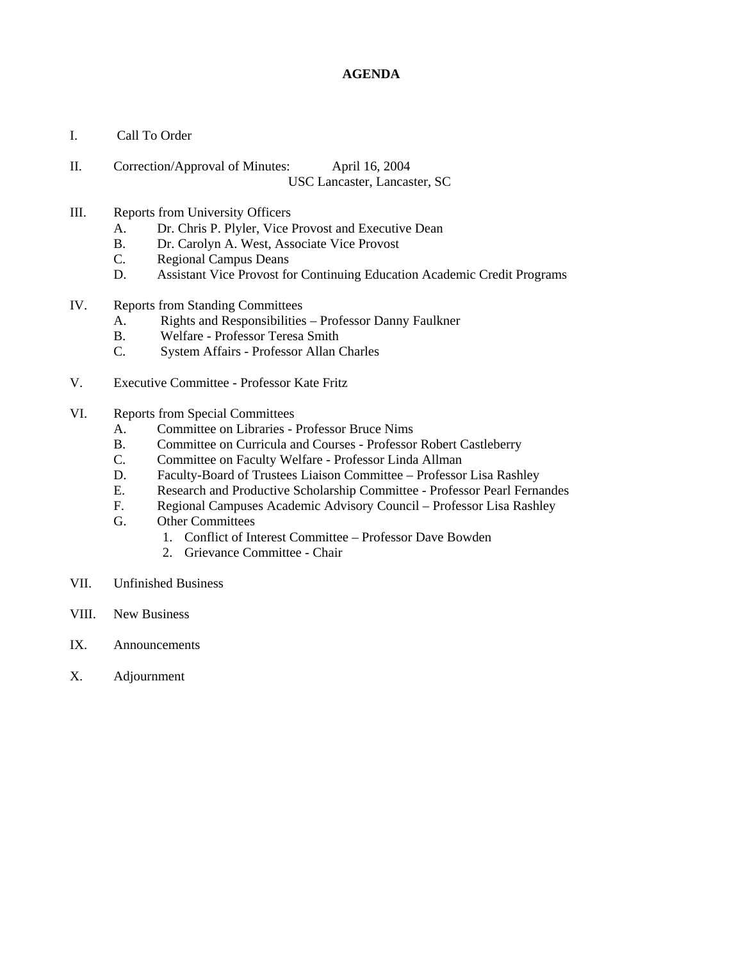#### **AGENDA**

- I. Call To Order
- II. Correction/Approval of Minutes: April 16, 2004 USC Lancaster, Lancaster, SC
- III. Reports from University Officers
	- A. Dr. Chris P. Plyler, Vice Provost and Executive Dean
	- B. Dr. Carolyn A. West, Associate Vice Provost
	- C. Regional Campus Deans
	- D. Assistant Vice Provost for Continuing Education Academic Credit Programs
- IV. Reports from Standing Committees
	- A. Rights and Responsibilities Professor Danny Faulkner
	- B. Welfare Professor Teresa Smith
	- C. System Affairs Professor Allan Charles
- V. Executive Committee Professor Kate Fritz
- VI. Reports from Special Committees
	- A. Committee on Libraries Professor Bruce Nims
	- B. Committee on Curricula and Courses Professor Robert Castleberry
	- C. Committee on Faculty Welfare Professor Linda Allman
	- D. Faculty-Board of Trustees Liaison Committee Professor Lisa Rashley
	- E. Research and Productive Scholarship Committee Professor Pearl Fernandes
	- F. Regional Campuses Academic Advisory Council Professor Lisa Rashley
	- G. Other Committees
		- 1. Conflict of Interest Committee Professor Dave Bowden
		- 2. Grievance Committee Chair
- VII. Unfinished Business
- VIII. New Business
- IX. Announcements
- X. Adjournment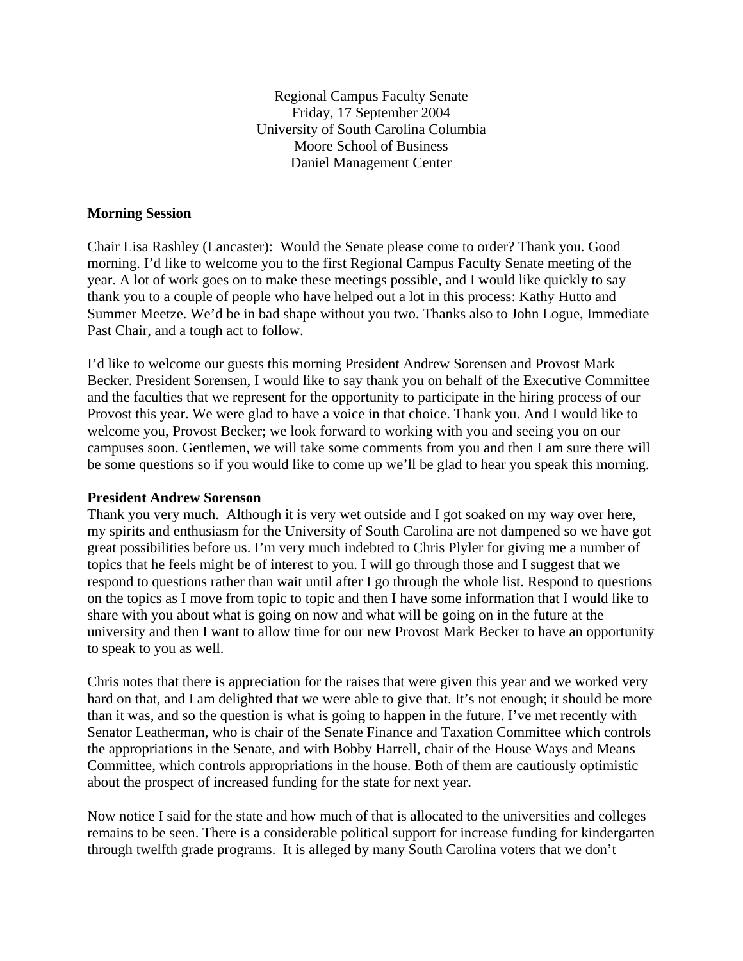Regional Campus Faculty Senate Friday, 17 September 2004 University of South Carolina Columbia Moore School of Business Daniel Management Center

### **Morning Session**

Chair Lisa Rashley (Lancaster): Would the Senate please come to order? Thank you. Good morning. I'd like to welcome you to the first Regional Campus Faculty Senate meeting of the year. A lot of work goes on to make these meetings possible, and I would like quickly to say thank you to a couple of people who have helped out a lot in this process: Kathy Hutto and Summer Meetze. We'd be in bad shape without you two. Thanks also to John Logue, Immediate Past Chair, and a tough act to follow.

I'd like to welcome our guests this morning President Andrew Sorensen and Provost Mark Becker. President Sorensen, I would like to say thank you on behalf of the Executive Committee and the faculties that we represent for the opportunity to participate in the hiring process of our Provost this year. We were glad to have a voice in that choice. Thank you. And I would like to welcome you, Provost Becker; we look forward to working with you and seeing you on our campuses soon. Gentlemen, we will take some comments from you and then I am sure there will be some questions so if you would like to come up we'll be glad to hear you speak this morning.

#### **President Andrew Sorenson**

Thank you very much. Although it is very wet outside and I got soaked on my way over here, my spirits and enthusiasm for the University of South Carolina are not dampened so we have got great possibilities before us. I'm very much indebted to Chris Plyler for giving me a number of topics that he feels might be of interest to you. I will go through those and I suggest that we respond to questions rather than wait until after I go through the whole list. Respond to questions on the topics as I move from topic to topic and then I have some information that I would like to share with you about what is going on now and what will be going on in the future at the university and then I want to allow time for our new Provost Mark Becker to have an opportunity to speak to you as well.

Chris notes that there is appreciation for the raises that were given this year and we worked very hard on that, and I am delighted that we were able to give that. It's not enough; it should be more than it was, and so the question is what is going to happen in the future. I've met recently with Senator Leatherman, who is chair of the Senate Finance and Taxation Committee which controls the appropriations in the Senate, and with Bobby Harrell, chair of the House Ways and Means Committee, which controls appropriations in the house. Both of them are cautiously optimistic about the prospect of increased funding for the state for next year.

Now notice I said for the state and how much of that is allocated to the universities and colleges remains to be seen. There is a considerable political support for increase funding for kindergarten through twelfth grade programs. It is alleged by many South Carolina voters that we don't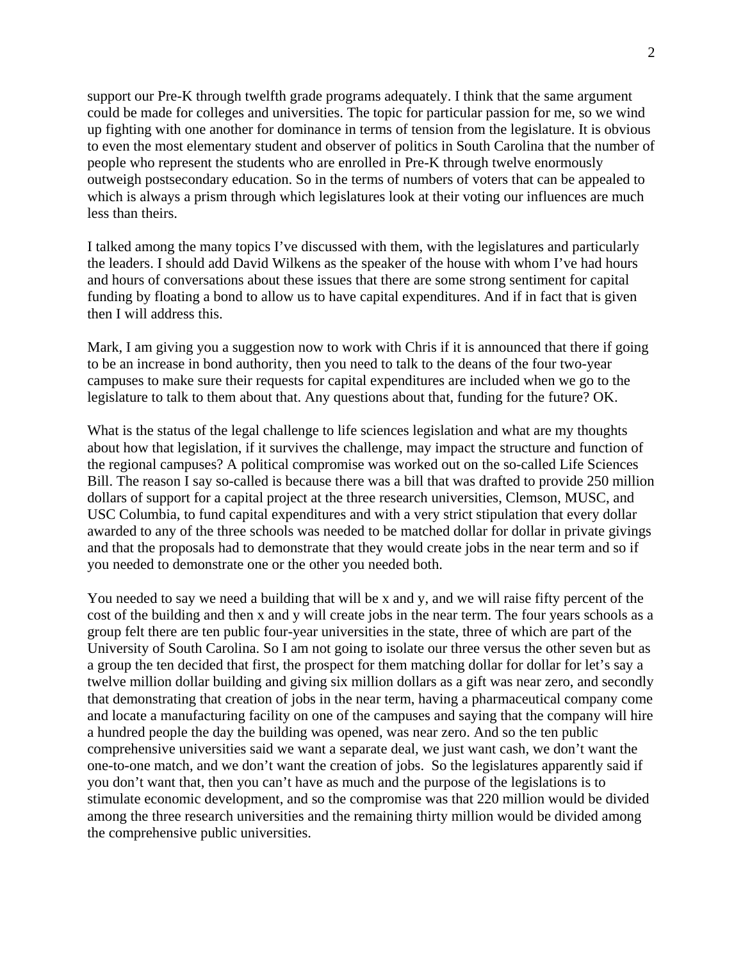support our Pre-K through twelfth grade programs adequately. I think that the same argument could be made for colleges and universities. The topic for particular passion for me, so we wind up fighting with one another for dominance in terms of tension from the legislature. It is obvious to even the most elementary student and observer of politics in South Carolina that the number of people who represent the students who are enrolled in Pre-K through twelve enormously outweigh postsecondary education. So in the terms of numbers of voters that can be appealed to which is always a prism through which legislatures look at their voting our influences are much less than theirs.

I talked among the many topics I've discussed with them, with the legislatures and particularly the leaders. I should add David Wilkens as the speaker of the house with whom I've had hours and hours of conversations about these issues that there are some strong sentiment for capital funding by floating a bond to allow us to have capital expenditures. And if in fact that is given then I will address this.

Mark, I am giving you a suggestion now to work with Chris if it is announced that there if going to be an increase in bond authority, then you need to talk to the deans of the four two-year campuses to make sure their requests for capital expenditures are included when we go to the legislature to talk to them about that. Any questions about that, funding for the future? OK.

What is the status of the legal challenge to life sciences legislation and what are my thoughts about how that legislation, if it survives the challenge, may impact the structure and function of the regional campuses? A political compromise was worked out on the so-called Life Sciences Bill. The reason I say so-called is because there was a bill that was drafted to provide 250 million dollars of support for a capital project at the three research universities, Clemson, MUSC, and USC Columbia, to fund capital expenditures and with a very strict stipulation that every dollar awarded to any of the three schools was needed to be matched dollar for dollar in private givings and that the proposals had to demonstrate that they would create jobs in the near term and so if you needed to demonstrate one or the other you needed both.

You needed to say we need a building that will be x and y, and we will raise fifty percent of the cost of the building and then x and y will create jobs in the near term. The four years schools as a group felt there are ten public four-year universities in the state, three of which are part of the University of South Carolina. So I am not going to isolate our three versus the other seven but as a group the ten decided that first, the prospect for them matching dollar for dollar for let's say a twelve million dollar building and giving six million dollars as a gift was near zero, and secondly that demonstrating that creation of jobs in the near term, having a pharmaceutical company come and locate a manufacturing facility on one of the campuses and saying that the company will hire a hundred people the day the building was opened, was near zero. And so the ten public comprehensive universities said we want a separate deal, we just want cash, we don't want the one-to-one match, and we don't want the creation of jobs. So the legislatures apparently said if you don't want that, then you can't have as much and the purpose of the legislations is to stimulate economic development, and so the compromise was that 220 million would be divided among the three research universities and the remaining thirty million would be divided among the comprehensive public universities.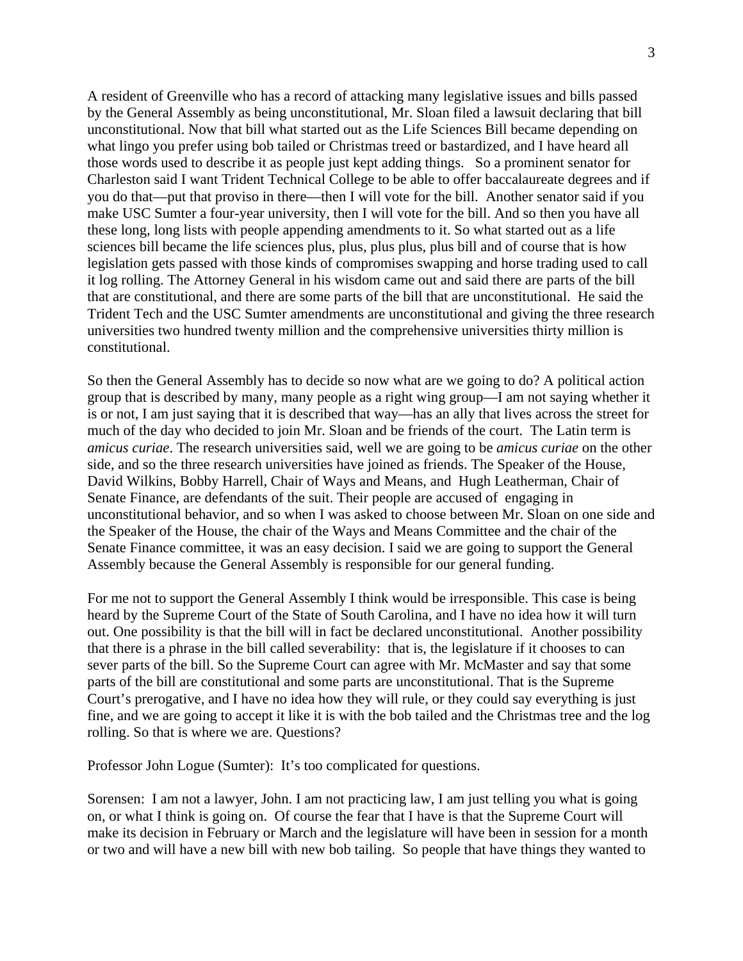A resident of Greenville who has a record of attacking many legislative issues and bills passed by the General Assembly as being unconstitutional, Mr. Sloan filed a lawsuit declaring that bill unconstitutional. Now that bill what started out as the Life Sciences Bill became depending on what lingo you prefer using bob tailed or Christmas treed or bastardized, and I have heard all those words used to describe it as people just kept adding things. So a prominent senator for Charleston said I want Trident Technical College to be able to offer baccalaureate degrees and if you do that—put that proviso in there—then I will vote for the bill. Another senator said if you make USC Sumter a four-year university, then I will vote for the bill. And so then you have all these long, long lists with people appending amendments to it. So what started out as a life sciences bill became the life sciences plus, plus, plus plus, plus bill and of course that is how legislation gets passed with those kinds of compromises swapping and horse trading used to call it log rolling. The Attorney General in his wisdom came out and said there are parts of the bill that are constitutional, and there are some parts of the bill that are unconstitutional. He said the Trident Tech and the USC Sumter amendments are unconstitutional and giving the three research universities two hundred twenty million and the comprehensive universities thirty million is constitutional.

So then the General Assembly has to decide so now what are we going to do? A political action group that is described by many, many people as a right wing group—I am not saying whether it is or not, I am just saying that it is described that way—has an ally that lives across the street for much of the day who decided to join Mr. Sloan and be friends of the court. The Latin term is *amicus curiae*. The research universities said, well we are going to be *amicus curiae* on the other side, and so the three research universities have joined as friends. The Speaker of the House, David Wilkins, Bobby Harrell, Chair of Ways and Means, and Hugh Leatherman, Chair of Senate Finance, are defendants of the suit. Their people are accused of engaging in unconstitutional behavior, and so when I was asked to choose between Mr. Sloan on one side and the Speaker of the House, the chair of the Ways and Means Committee and the chair of the Senate Finance committee, it was an easy decision. I said we are going to support the General Assembly because the General Assembly is responsible for our general funding.

For me not to support the General Assembly I think would be irresponsible. This case is being heard by the Supreme Court of the State of South Carolina, and I have no idea how it will turn out. One possibility is that the bill will in fact be declared unconstitutional. Another possibility that there is a phrase in the bill called severability: that is, the legislature if it chooses to can sever parts of the bill. So the Supreme Court can agree with Mr. McMaster and say that some parts of the bill are constitutional and some parts are unconstitutional. That is the Supreme Court's prerogative, and I have no idea how they will rule, or they could say everything is just fine, and we are going to accept it like it is with the bob tailed and the Christmas tree and the log rolling. So that is where we are. Questions?

Professor John Logue (Sumter): It's too complicated for questions.

Sorensen: I am not a lawyer, John. I am not practicing law, I am just telling you what is going on, or what I think is going on. Of course the fear that I have is that the Supreme Court will make its decision in February or March and the legislature will have been in session for a month or two and will have a new bill with new bob tailing. So people that have things they wanted to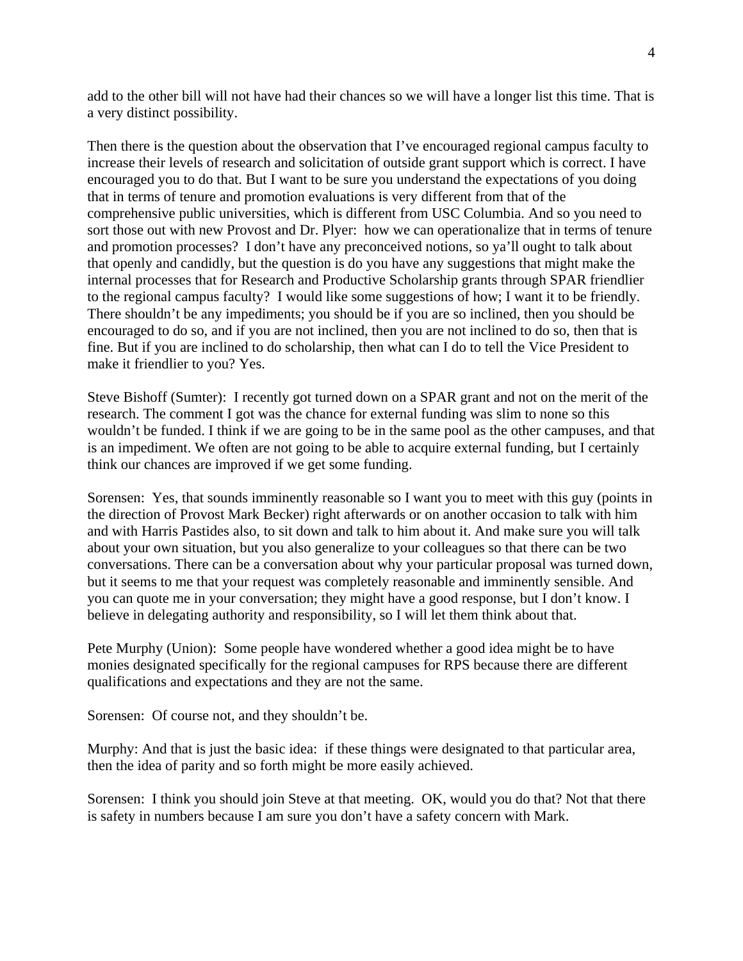add to the other bill will not have had their chances so we will have a longer list this time. That is a very distinct possibility.

Then there is the question about the observation that I've encouraged regional campus faculty to increase their levels of research and solicitation of outside grant support which is correct. I have encouraged you to do that. But I want to be sure you understand the expectations of you doing that in terms of tenure and promotion evaluations is very different from that of the comprehensive public universities, which is different from USC Columbia. And so you need to sort those out with new Provost and Dr. Plyer: how we can operationalize that in terms of tenure and promotion processes? I don't have any preconceived notions, so ya'll ought to talk about that openly and candidly, but the question is do you have any suggestions that might make the internal processes that for Research and Productive Scholarship grants through SPAR friendlier to the regional campus faculty? I would like some suggestions of how; I want it to be friendly. There shouldn't be any impediments; you should be if you are so inclined, then you should be encouraged to do so, and if you are not inclined, then you are not inclined to do so, then that is fine. But if you are inclined to do scholarship, then what can I do to tell the Vice President to make it friendlier to you? Yes.

Steve Bishoff (Sumter): I recently got turned down on a SPAR grant and not on the merit of the research. The comment I got was the chance for external funding was slim to none so this wouldn't be funded. I think if we are going to be in the same pool as the other campuses, and that is an impediment. We often are not going to be able to acquire external funding, but I certainly think our chances are improved if we get some funding.

Sorensen: Yes, that sounds imminently reasonable so I want you to meet with this guy (points in the direction of Provost Mark Becker) right afterwards or on another occasion to talk with him and with Harris Pastides also, to sit down and talk to him about it. And make sure you will talk about your own situation, but you also generalize to your colleagues so that there can be two conversations. There can be a conversation about why your particular proposal was turned down, but it seems to me that your request was completely reasonable and imminently sensible. And you can quote me in your conversation; they might have a good response, but I don't know. I believe in delegating authority and responsibility, so I will let them think about that.

Pete Murphy (Union): Some people have wondered whether a good idea might be to have monies designated specifically for the regional campuses for RPS because there are different qualifications and expectations and they are not the same.

Sorensen: Of course not, and they shouldn't be.

Murphy: And that is just the basic idea: if these things were designated to that particular area, then the idea of parity and so forth might be more easily achieved.

Sorensen: I think you should join Steve at that meeting. OK, would you do that? Not that there is safety in numbers because I am sure you don't have a safety concern with Mark.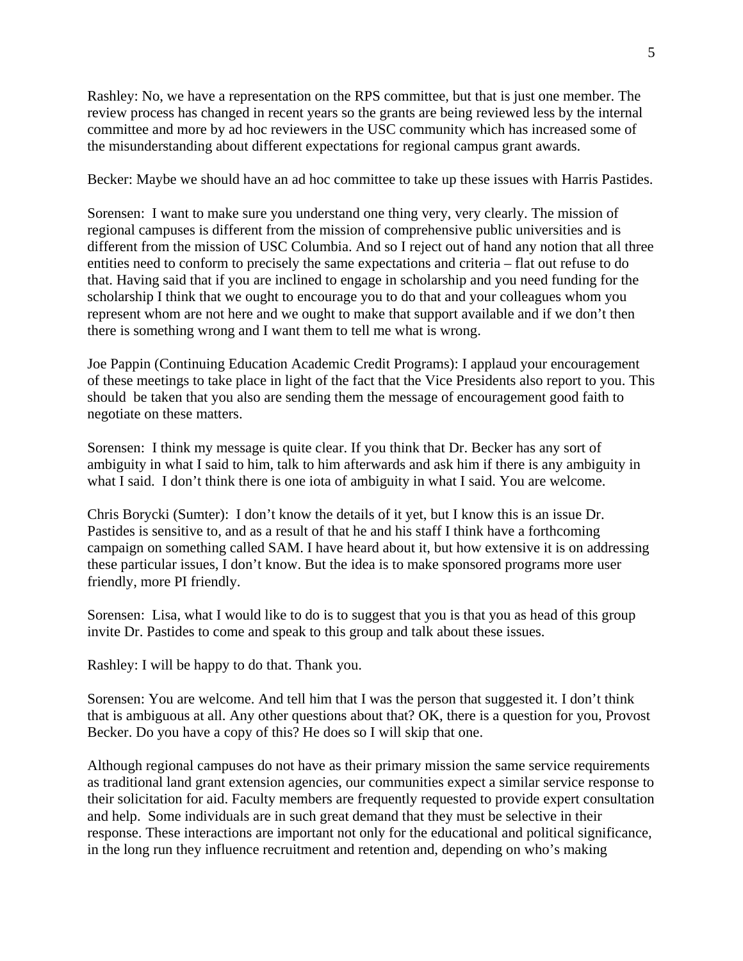Rashley: No, we have a representation on the RPS committee, but that is just one member. The review process has changed in recent years so the grants are being reviewed less by the internal committee and more by ad hoc reviewers in the USC community which has increased some of the misunderstanding about different expectations for regional campus grant awards.

Becker: Maybe we should have an ad hoc committee to take up these issues with Harris Pastides.

Sorensen: I want to make sure you understand one thing very, very clearly. The mission of regional campuses is different from the mission of comprehensive public universities and is different from the mission of USC Columbia. And so I reject out of hand any notion that all three entities need to conform to precisely the same expectations and criteria – flat out refuse to do that. Having said that if you are inclined to engage in scholarship and you need funding for the scholarship I think that we ought to encourage you to do that and your colleagues whom you represent whom are not here and we ought to make that support available and if we don't then there is something wrong and I want them to tell me what is wrong.

Joe Pappin (Continuing Education Academic Credit Programs): I applaud your encouragement of these meetings to take place in light of the fact that the Vice Presidents also report to you. This should be taken that you also are sending them the message of encouragement good faith to negotiate on these matters.

Sorensen: I think my message is quite clear. If you think that Dr. Becker has any sort of ambiguity in what I said to him, talk to him afterwards and ask him if there is any ambiguity in what I said. I don't think there is one iota of ambiguity in what I said. You are welcome.

Chris Borycki (Sumter): I don't know the details of it yet, but I know this is an issue Dr. Pastides is sensitive to, and as a result of that he and his staff I think have a forthcoming campaign on something called SAM. I have heard about it, but how extensive it is on addressing these particular issues, I don't know. But the idea is to make sponsored programs more user friendly, more PI friendly.

Sorensen: Lisa, what I would like to do is to suggest that you is that you as head of this group invite Dr. Pastides to come and speak to this group and talk about these issues.

Rashley: I will be happy to do that. Thank you.

Sorensen: You are welcome. And tell him that I was the person that suggested it. I don't think that is ambiguous at all. Any other questions about that? OK, there is a question for you, Provost Becker. Do you have a copy of this? He does so I will skip that one.

Although regional campuses do not have as their primary mission the same service requirements as traditional land grant extension agencies, our communities expect a similar service response to their solicitation for aid. Faculty members are frequently requested to provide expert consultation and help. Some individuals are in such great demand that they must be selective in their response. These interactions are important not only for the educational and political significance, in the long run they influence recruitment and retention and, depending on who's making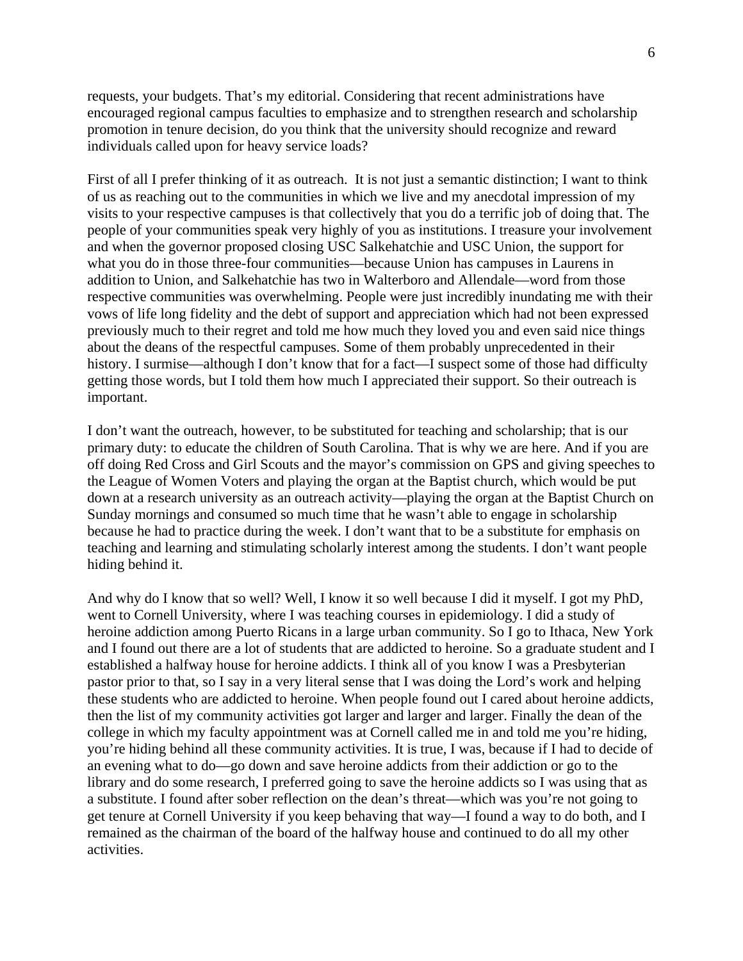requests, your budgets. That's my editorial. Considering that recent administrations have encouraged regional campus faculties to emphasize and to strengthen research and scholarship promotion in tenure decision, do you think that the university should recognize and reward individuals called upon for heavy service loads?

First of all I prefer thinking of it as outreach. It is not just a semantic distinction; I want to think of us as reaching out to the communities in which we live and my anecdotal impression of my visits to your respective campuses is that collectively that you do a terrific job of doing that. The people of your communities speak very highly of you as institutions. I treasure your involvement and when the governor proposed closing USC Salkehatchie and USC Union, the support for what you do in those three-four communities—because Union has campuses in Laurens in addition to Union, and Salkehatchie has two in Walterboro and Allendale—word from those respective communities was overwhelming. People were just incredibly inundating me with their vows of life long fidelity and the debt of support and appreciation which had not been expressed previously much to their regret and told me how much they loved you and even said nice things about the deans of the respectful campuses. Some of them probably unprecedented in their history. I surmise—although I don't know that for a fact—I suspect some of those had difficulty getting those words, but I told them how much I appreciated their support. So their outreach is important.

I don't want the outreach, however, to be substituted for teaching and scholarship; that is our primary duty: to educate the children of South Carolina. That is why we are here. And if you are off doing Red Cross and Girl Scouts and the mayor's commission on GPS and giving speeches to the League of Women Voters and playing the organ at the Baptist church, which would be put down at a research university as an outreach activity—playing the organ at the Baptist Church on Sunday mornings and consumed so much time that he wasn't able to engage in scholarship because he had to practice during the week. I don't want that to be a substitute for emphasis on teaching and learning and stimulating scholarly interest among the students. I don't want people hiding behind it.

And why do I know that so well? Well, I know it so well because I did it myself. I got my PhD, went to Cornell University, where I was teaching courses in epidemiology. I did a study of heroine addiction among Puerto Ricans in a large urban community. So I go to Ithaca, New York and I found out there are a lot of students that are addicted to heroine. So a graduate student and I established a halfway house for heroine addicts. I think all of you know I was a Presbyterian pastor prior to that, so I say in a very literal sense that I was doing the Lord's work and helping these students who are addicted to heroine. When people found out I cared about heroine addicts, then the list of my community activities got larger and larger and larger. Finally the dean of the college in which my faculty appointment was at Cornell called me in and told me you're hiding, you're hiding behind all these community activities. It is true, I was, because if I had to decide of an evening what to do—go down and save heroine addicts from their addiction or go to the library and do some research, I preferred going to save the heroine addicts so I was using that as a substitute. I found after sober reflection on the dean's threat—which was you're not going to get tenure at Cornell University if you keep behaving that way—I found a way to do both, and I remained as the chairman of the board of the halfway house and continued to do all my other activities.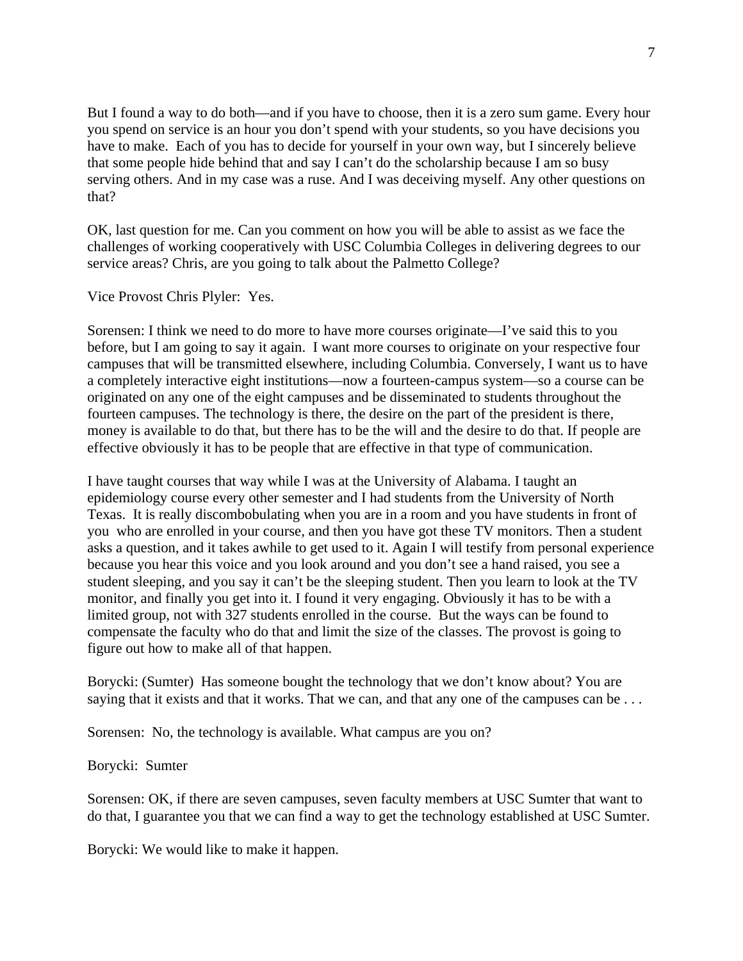But I found a way to do both—and if you have to choose, then it is a zero sum game. Every hour you spend on service is an hour you don't spend with your students, so you have decisions you have to make. Each of you has to decide for yourself in your own way, but I sincerely believe that some people hide behind that and say I can't do the scholarship because I am so busy serving others. And in my case was a ruse. And I was deceiving myself. Any other questions on that?

OK, last question for me. Can you comment on how you will be able to assist as we face the challenges of working cooperatively with USC Columbia Colleges in delivering degrees to our service areas? Chris, are you going to talk about the Palmetto College?

Vice Provost Chris Plyler: Yes.

Sorensen: I think we need to do more to have more courses originate—I've said this to you before, but I am going to say it again. I want more courses to originate on your respective four campuses that will be transmitted elsewhere, including Columbia. Conversely, I want us to have a completely interactive eight institutions—now a fourteen-campus system—so a course can be originated on any one of the eight campuses and be disseminated to students throughout the fourteen campuses. The technology is there, the desire on the part of the president is there, money is available to do that, but there has to be the will and the desire to do that. If people are effective obviously it has to be people that are effective in that type of communication.

I have taught courses that way while I was at the University of Alabama. I taught an epidemiology course every other semester and I had students from the University of North Texas. It is really discombobulating when you are in a room and you have students in front of you who are enrolled in your course, and then you have got these TV monitors. Then a student asks a question, and it takes awhile to get used to it. Again I will testify from personal experience because you hear this voice and you look around and you don't see a hand raised, you see a student sleeping, and you say it can't be the sleeping student. Then you learn to look at the TV monitor, and finally you get into it. I found it very engaging. Obviously it has to be with a limited group, not with 327 students enrolled in the course. But the ways can be found to compensate the faculty who do that and limit the size of the classes. The provost is going to figure out how to make all of that happen.

Borycki: (Sumter) Has someone bought the technology that we don't know about? You are saying that it exists and that it works. That we can, and that any one of the campuses can be . . .

Sorensen: No, the technology is available. What campus are you on?

Borycki: Sumter

Sorensen: OK, if there are seven campuses, seven faculty members at USC Sumter that want to do that, I guarantee you that we can find a way to get the technology established at USC Sumter.

Borycki: We would like to make it happen.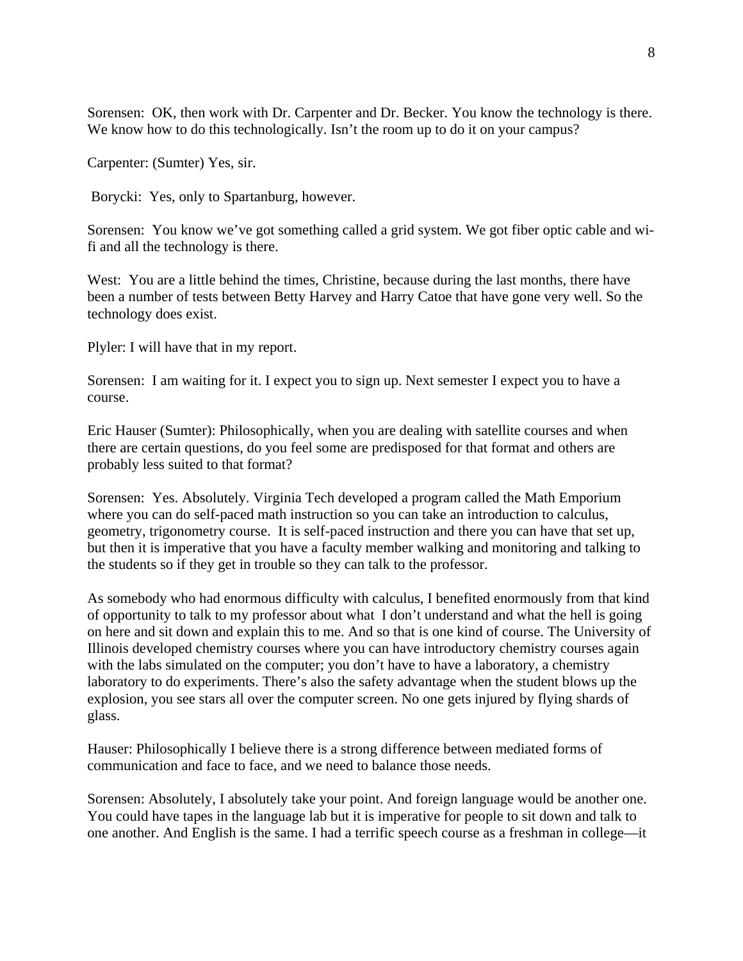Sorensen: OK, then work with Dr. Carpenter and Dr. Becker. You know the technology is there. We know how to do this technologically. Isn't the room up to do it on your campus?

Carpenter: (Sumter) Yes, sir.

Borycki: Yes, only to Spartanburg, however.

Sorensen: You know we've got something called a grid system. We got fiber optic cable and wifi and all the technology is there.

West: You are a little behind the times, Christine, because during the last months, there have been a number of tests between Betty Harvey and Harry Catoe that have gone very well. So the technology does exist.

Plyler: I will have that in my report.

Sorensen: I am waiting for it. I expect you to sign up. Next semester I expect you to have a course.

Eric Hauser (Sumter): Philosophically, when you are dealing with satellite courses and when there are certain questions, do you feel some are predisposed for that format and others are probably less suited to that format?

Sorensen: Yes. Absolutely. Virginia Tech developed a program called the Math Emporium where you can do self-paced math instruction so you can take an introduction to calculus, geometry, trigonometry course. It is self-paced instruction and there you can have that set up, but then it is imperative that you have a faculty member walking and monitoring and talking to the students so if they get in trouble so they can talk to the professor.

As somebody who had enormous difficulty with calculus, I benefited enormously from that kind of opportunity to talk to my professor about what I don't understand and what the hell is going on here and sit down and explain this to me. And so that is one kind of course. The University of Illinois developed chemistry courses where you can have introductory chemistry courses again with the labs simulated on the computer; you don't have to have a laboratory, a chemistry laboratory to do experiments. There's also the safety advantage when the student blows up the explosion, you see stars all over the computer screen. No one gets injured by flying shards of glass.

Hauser: Philosophically I believe there is a strong difference between mediated forms of communication and face to face, and we need to balance those needs.

Sorensen: Absolutely, I absolutely take your point. And foreign language would be another one. You could have tapes in the language lab but it is imperative for people to sit down and talk to one another. And English is the same. I had a terrific speech course as a freshman in college—it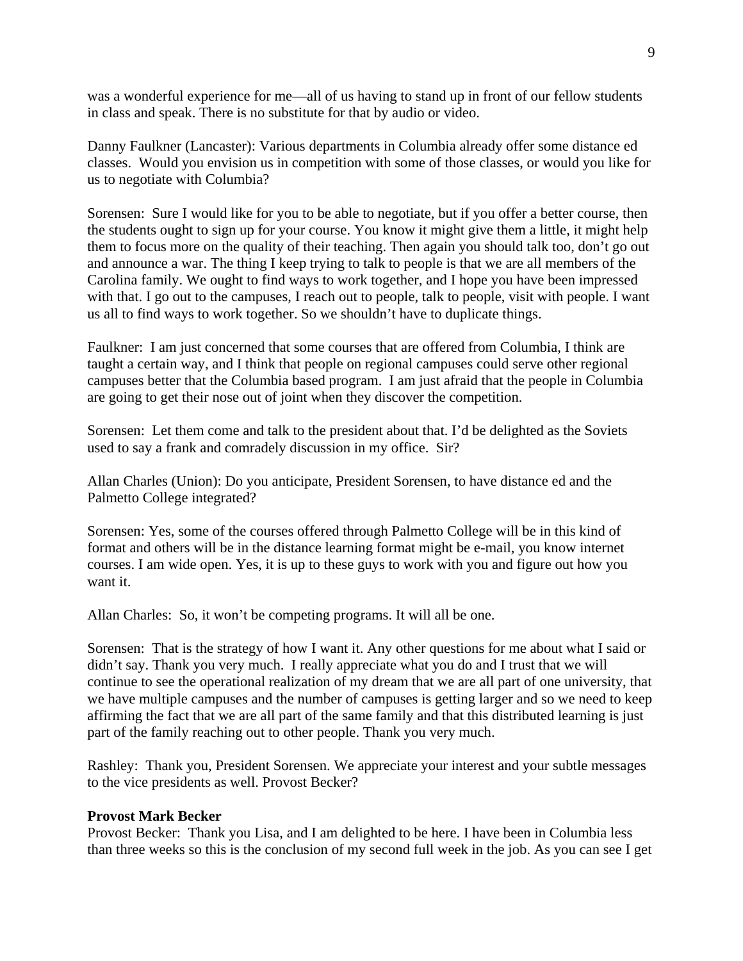was a wonderful experience for me—all of us having to stand up in front of our fellow students in class and speak. There is no substitute for that by audio or video.

Danny Faulkner (Lancaster): Various departments in Columbia already offer some distance ed classes. Would you envision us in competition with some of those classes, or would you like for us to negotiate with Columbia?

Sorensen: Sure I would like for you to be able to negotiate, but if you offer a better course, then the students ought to sign up for your course. You know it might give them a little, it might help them to focus more on the quality of their teaching. Then again you should talk too, don't go out and announce a war. The thing I keep trying to talk to people is that we are all members of the Carolina family. We ought to find ways to work together, and I hope you have been impressed with that. I go out to the campuses, I reach out to people, talk to people, visit with people. I want us all to find ways to work together. So we shouldn't have to duplicate things.

Faulkner: I am just concerned that some courses that are offered from Columbia, I think are taught a certain way, and I think that people on regional campuses could serve other regional campuses better that the Columbia based program. I am just afraid that the people in Columbia are going to get their nose out of joint when they discover the competition.

Sorensen: Let them come and talk to the president about that. I'd be delighted as the Soviets used to say a frank and comradely discussion in my office. Sir?

Allan Charles (Union): Do you anticipate, President Sorensen, to have distance ed and the Palmetto College integrated?

Sorensen: Yes, some of the courses offered through Palmetto College will be in this kind of format and others will be in the distance learning format might be e-mail, you know internet courses. I am wide open. Yes, it is up to these guys to work with you and figure out how you want it.

Allan Charles: So, it won't be competing programs. It will all be one.

Sorensen: That is the strategy of how I want it. Any other questions for me about what I said or didn't say. Thank you very much. I really appreciate what you do and I trust that we will continue to see the operational realization of my dream that we are all part of one university, that we have multiple campuses and the number of campuses is getting larger and so we need to keep affirming the fact that we are all part of the same family and that this distributed learning is just part of the family reaching out to other people. Thank you very much.

Rashley: Thank you, President Sorensen. We appreciate your interest and your subtle messages to the vice presidents as well. Provost Becker?

#### **Provost Mark Becker**

Provost Becker: Thank you Lisa, and I am delighted to be here. I have been in Columbia less than three weeks so this is the conclusion of my second full week in the job. As you can see I get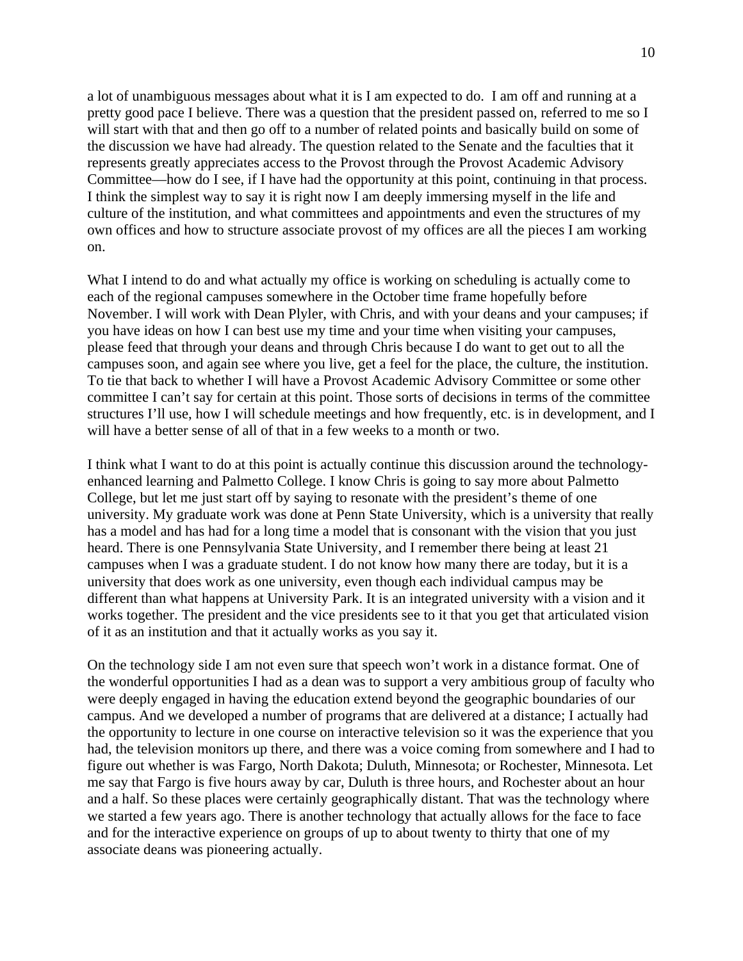a lot of unambiguous messages about what it is I am expected to do. I am off and running at a pretty good pace I believe. There was a question that the president passed on, referred to me so I will start with that and then go off to a number of related points and basically build on some of the discussion we have had already. The question related to the Senate and the faculties that it represents greatly appreciates access to the Provost through the Provost Academic Advisory Committee—how do I see, if I have had the opportunity at this point, continuing in that process. I think the simplest way to say it is right now I am deeply immersing myself in the life and culture of the institution, and what committees and appointments and even the structures of my own offices and how to structure associate provost of my offices are all the pieces I am working on.

What I intend to do and what actually my office is working on scheduling is actually come to each of the regional campuses somewhere in the October time frame hopefully before November. I will work with Dean Plyler, with Chris, and with your deans and your campuses; if you have ideas on how I can best use my time and your time when visiting your campuses, please feed that through your deans and through Chris because I do want to get out to all the campuses soon, and again see where you live, get a feel for the place, the culture, the institution. To tie that back to whether I will have a Provost Academic Advisory Committee or some other committee I can't say for certain at this point. Those sorts of decisions in terms of the committee structures I'll use, how I will schedule meetings and how frequently, etc. is in development, and I will have a better sense of all of that in a few weeks to a month or two.

I think what I want to do at this point is actually continue this discussion around the technologyenhanced learning and Palmetto College. I know Chris is going to say more about Palmetto College, but let me just start off by saying to resonate with the president's theme of one university. My graduate work was done at Penn State University, which is a university that really has a model and has had for a long time a model that is consonant with the vision that you just heard. There is one Pennsylvania State University, and I remember there being at least 21 campuses when I was a graduate student. I do not know how many there are today, but it is a university that does work as one university, even though each individual campus may be different than what happens at University Park. It is an integrated university with a vision and it works together. The president and the vice presidents see to it that you get that articulated vision of it as an institution and that it actually works as you say it.

On the technology side I am not even sure that speech won't work in a distance format. One of the wonderful opportunities I had as a dean was to support a very ambitious group of faculty who were deeply engaged in having the education extend beyond the geographic boundaries of our campus. And we developed a number of programs that are delivered at a distance; I actually had the opportunity to lecture in one course on interactive television so it was the experience that you had, the television monitors up there, and there was a voice coming from somewhere and I had to figure out whether is was Fargo, North Dakota; Duluth, Minnesota; or Rochester, Minnesota. Let me say that Fargo is five hours away by car, Duluth is three hours, and Rochester about an hour and a half. So these places were certainly geographically distant. That was the technology where we started a few years ago. There is another technology that actually allows for the face to face and for the interactive experience on groups of up to about twenty to thirty that one of my associate deans was pioneering actually.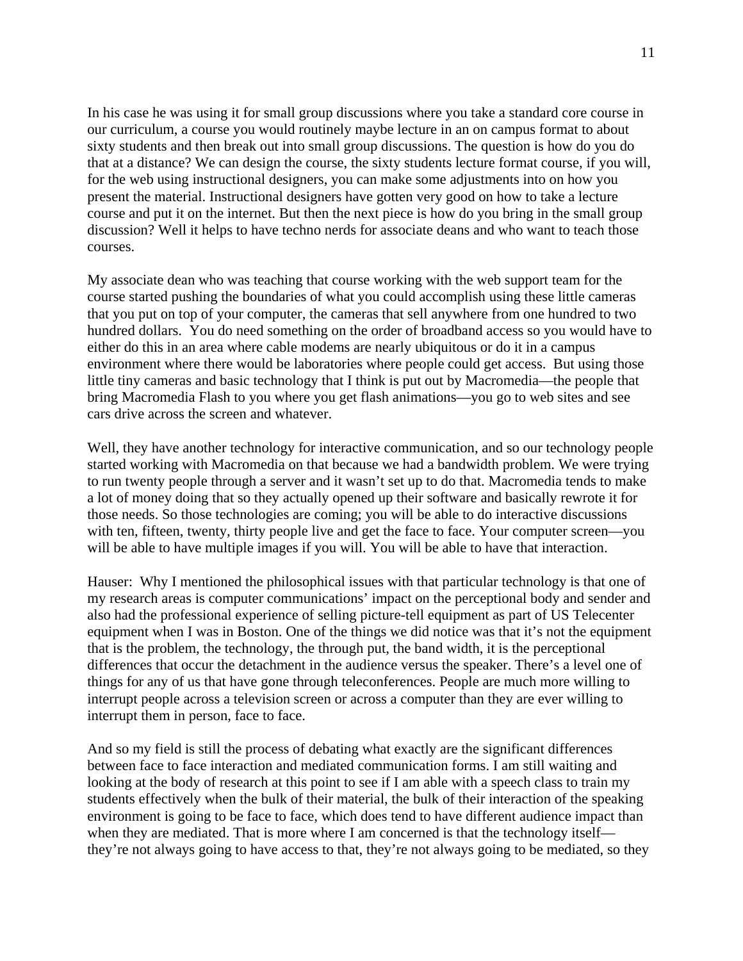In his case he was using it for small group discussions where you take a standard core course in our curriculum, a course you would routinely maybe lecture in an on campus format to about sixty students and then break out into small group discussions. The question is how do you do that at a distance? We can design the course, the sixty students lecture format course, if you will, for the web using instructional designers, you can make some adjustments into on how you present the material. Instructional designers have gotten very good on how to take a lecture course and put it on the internet. But then the next piece is how do you bring in the small group discussion? Well it helps to have techno nerds for associate deans and who want to teach those courses.

My associate dean who was teaching that course working with the web support team for the course started pushing the boundaries of what you could accomplish using these little cameras that you put on top of your computer, the cameras that sell anywhere from one hundred to two hundred dollars. You do need something on the order of broadband access so you would have to either do this in an area where cable modems are nearly ubiquitous or do it in a campus environment where there would be laboratories where people could get access. But using those little tiny cameras and basic technology that I think is put out by Macromedia—the people that bring Macromedia Flash to you where you get flash animations—you go to web sites and see cars drive across the screen and whatever.

Well, they have another technology for interactive communication, and so our technology people started working with Macromedia on that because we had a bandwidth problem. We were trying to run twenty people through a server and it wasn't set up to do that. Macromedia tends to make a lot of money doing that so they actually opened up their software and basically rewrote it for those needs. So those technologies are coming; you will be able to do interactive discussions with ten, fifteen, twenty, thirty people live and get the face to face. Your computer screen—you will be able to have multiple images if you will. You will be able to have that interaction.

Hauser: Why I mentioned the philosophical issues with that particular technology is that one of my research areas is computer communications' impact on the perceptional body and sender and also had the professional experience of selling picture-tell equipment as part of US Telecenter equipment when I was in Boston. One of the things we did notice was that it's not the equipment that is the problem, the technology, the through put, the band width, it is the perceptional differences that occur the detachment in the audience versus the speaker. There's a level one of things for any of us that have gone through teleconferences. People are much more willing to interrupt people across a television screen or across a computer than they are ever willing to interrupt them in person, face to face.

And so my field is still the process of debating what exactly are the significant differences between face to face interaction and mediated communication forms. I am still waiting and looking at the body of research at this point to see if I am able with a speech class to train my students effectively when the bulk of their material, the bulk of their interaction of the speaking environment is going to be face to face, which does tend to have different audience impact than when they are mediated. That is more where I am concerned is that the technology itself they're not always going to have access to that, they're not always going to be mediated, so they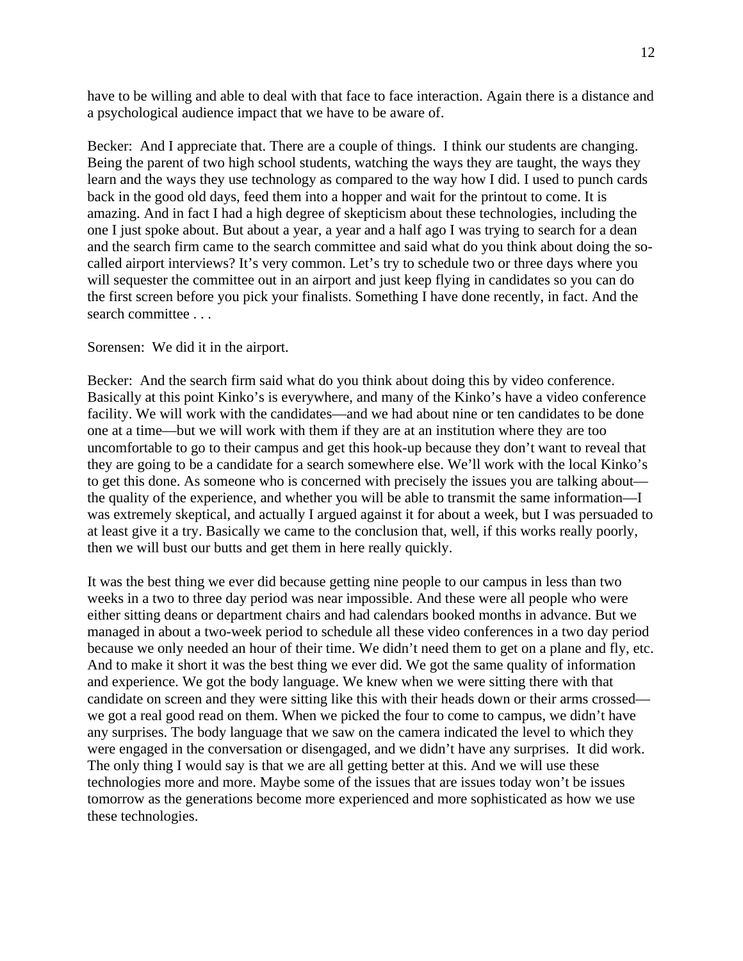have to be willing and able to deal with that face to face interaction. Again there is a distance and a psychological audience impact that we have to be aware of.

Becker: And I appreciate that. There are a couple of things. I think our students are changing. Being the parent of two high school students, watching the ways they are taught, the ways they learn and the ways they use technology as compared to the way how I did. I used to punch cards back in the good old days, feed them into a hopper and wait for the printout to come. It is amazing. And in fact I had a high degree of skepticism about these technologies, including the one I just spoke about. But about a year, a year and a half ago I was trying to search for a dean and the search firm came to the search committee and said what do you think about doing the socalled airport interviews? It's very common. Let's try to schedule two or three days where you will sequester the committee out in an airport and just keep flying in candidates so you can do the first screen before you pick your finalists. Something I have done recently, in fact. And the search committee . . .

#### Sorensen: We did it in the airport.

Becker: And the search firm said what do you think about doing this by video conference. Basically at this point Kinko's is everywhere, and many of the Kinko's have a video conference facility. We will work with the candidates—and we had about nine or ten candidates to be done one at a time—but we will work with them if they are at an institution where they are too uncomfortable to go to their campus and get this hook-up because they don't want to reveal that they are going to be a candidate for a search somewhere else. We'll work with the local Kinko's to get this done. As someone who is concerned with precisely the issues you are talking about the quality of the experience, and whether you will be able to transmit the same information—I was extremely skeptical, and actually I argued against it for about a week, but I was persuaded to at least give it a try. Basically we came to the conclusion that, well, if this works really poorly, then we will bust our butts and get them in here really quickly.

It was the best thing we ever did because getting nine people to our campus in less than two weeks in a two to three day period was near impossible. And these were all people who were either sitting deans or department chairs and had calendars booked months in advance. But we managed in about a two-week period to schedule all these video conferences in a two day period because we only needed an hour of their time. We didn't need them to get on a plane and fly, etc. And to make it short it was the best thing we ever did. We got the same quality of information and experience. We got the body language. We knew when we were sitting there with that candidate on screen and they were sitting like this with their heads down or their arms crossed we got a real good read on them. When we picked the four to come to campus, we didn't have any surprises. The body language that we saw on the camera indicated the level to which they were engaged in the conversation or disengaged, and we didn't have any surprises. It did work. The only thing I would say is that we are all getting better at this. And we will use these technologies more and more. Maybe some of the issues that are issues today won't be issues tomorrow as the generations become more experienced and more sophisticated as how we use these technologies.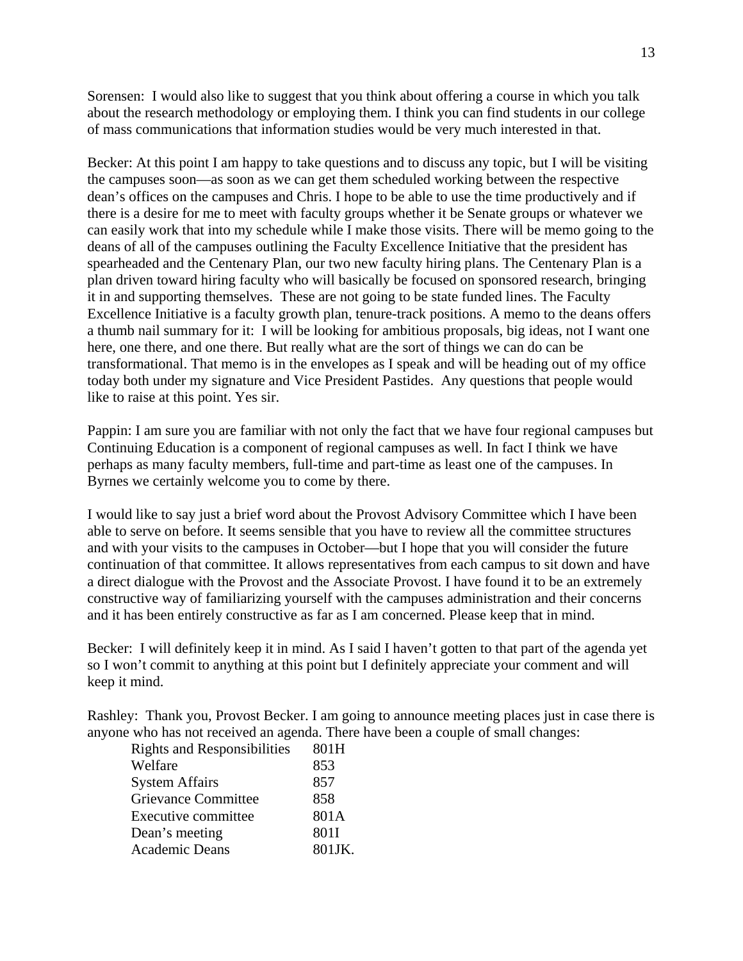Sorensen: I would also like to suggest that you think about offering a course in which you talk about the research methodology or employing them. I think you can find students in our college of mass communications that information studies would be very much interested in that.

Becker: At this point I am happy to take questions and to discuss any topic, but I will be visiting the campuses soon—as soon as we can get them scheduled working between the respective dean's offices on the campuses and Chris. I hope to be able to use the time productively and if there is a desire for me to meet with faculty groups whether it be Senate groups or whatever we can easily work that into my schedule while I make those visits. There will be memo going to the deans of all of the campuses outlining the Faculty Excellence Initiative that the president has spearheaded and the Centenary Plan, our two new faculty hiring plans. The Centenary Plan is a plan driven toward hiring faculty who will basically be focused on sponsored research, bringing it in and supporting themselves. These are not going to be state funded lines. The Faculty Excellence Initiative is a faculty growth plan, tenure-track positions. A memo to the deans offers a thumb nail summary for it: I will be looking for ambitious proposals, big ideas, not I want one here, one there, and one there. But really what are the sort of things we can do can be transformational. That memo is in the envelopes as I speak and will be heading out of my office today both under my signature and Vice President Pastides. Any questions that people would like to raise at this point. Yes sir.

Pappin: I am sure you are familiar with not only the fact that we have four regional campuses but Continuing Education is a component of regional campuses as well. In fact I think we have perhaps as many faculty members, full-time and part-time as least one of the campuses. In Byrnes we certainly welcome you to come by there.

I would like to say just a brief word about the Provost Advisory Committee which I have been able to serve on before. It seems sensible that you have to review all the committee structures and with your visits to the campuses in October—but I hope that you will consider the future continuation of that committee. It allows representatives from each campus to sit down and have a direct dialogue with the Provost and the Associate Provost. I have found it to be an extremely constructive way of familiarizing yourself with the campuses administration and their concerns and it has been entirely constructive as far as I am concerned. Please keep that in mind.

Becker: I will definitely keep it in mind. As I said I haven't gotten to that part of the agenda yet so I won't commit to anything at this point but I definitely appreciate your comment and will keep it mind.

Rashley: Thank you, Provost Becker. I am going to announce meeting places just in case there is anyone who has not received an agenda. There have been a couple of small changes:

| <b>Rights and Responsibilities</b> | 801H   |
|------------------------------------|--------|
| Welfare                            | 853    |
| <b>System Affairs</b>              | 857    |
| <b>Grievance Committee</b>         | 858    |
| Executive committee                | 801A   |
| Dean's meeting                     | 801I   |
| Academic Deans                     | 801JK. |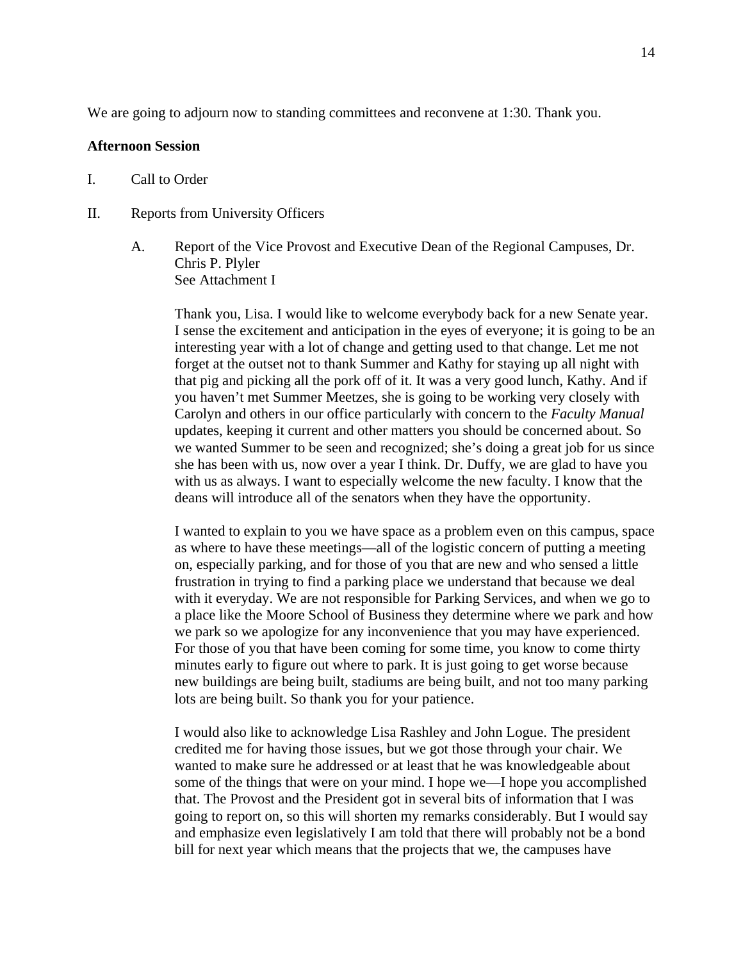We are going to adjourn now to standing committees and reconvene at 1:30. Thank you.

#### **Afternoon Session**

- I. Call to Order
- II. Reports from University Officers
	- A. Report of the Vice Provost and Executive Dean of the Regional Campuses, Dr. Chris P. Plyler See Attachment I

Thank you, Lisa. I would like to welcome everybody back for a new Senate year. I sense the excitement and anticipation in the eyes of everyone; it is going to be an interesting year with a lot of change and getting used to that change. Let me not forget at the outset not to thank Summer and Kathy for staying up all night with that pig and picking all the pork off of it. It was a very good lunch, Kathy. And if you haven't met Summer Meetzes, she is going to be working very closely with Carolyn and others in our office particularly with concern to the *Faculty Manual*  updates, keeping it current and other matters you should be concerned about. So we wanted Summer to be seen and recognized; she's doing a great job for us since she has been with us, now over a year I think. Dr. Duffy, we are glad to have you with us as always. I want to especially welcome the new faculty. I know that the deans will introduce all of the senators when they have the opportunity.

I wanted to explain to you we have space as a problem even on this campus, space as where to have these meetings—all of the logistic concern of putting a meeting on, especially parking, and for those of you that are new and who sensed a little frustration in trying to find a parking place we understand that because we deal with it everyday. We are not responsible for Parking Services, and when we go to a place like the Moore School of Business they determine where we park and how we park so we apologize for any inconvenience that you may have experienced. For those of you that have been coming for some time, you know to come thirty minutes early to figure out where to park. It is just going to get worse because new buildings are being built, stadiums are being built, and not too many parking lots are being built. So thank you for your patience.

I would also like to acknowledge Lisa Rashley and John Logue. The president credited me for having those issues, but we got those through your chair. We wanted to make sure he addressed or at least that he was knowledgeable about some of the things that were on your mind. I hope we—I hope you accomplished that. The Provost and the President got in several bits of information that I was going to report on, so this will shorten my remarks considerably. But I would say and emphasize even legislatively I am told that there will probably not be a bond bill for next year which means that the projects that we, the campuses have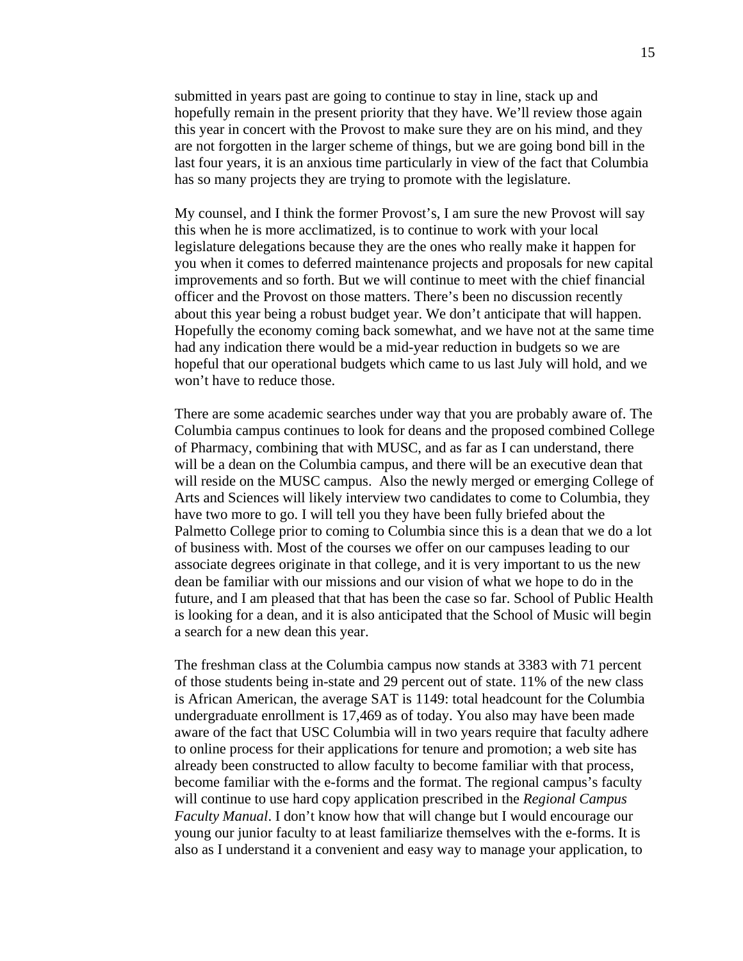submitted in years past are going to continue to stay in line, stack up and hopefully remain in the present priority that they have. We'll review those again this year in concert with the Provost to make sure they are on his mind, and they are not forgotten in the larger scheme of things, but we are going bond bill in the last four years, it is an anxious time particularly in view of the fact that Columbia has so many projects they are trying to promote with the legislature.

My counsel, and I think the former Provost's, I am sure the new Provost will say this when he is more acclimatized, is to continue to work with your local legislature delegations because they are the ones who really make it happen for you when it comes to deferred maintenance projects and proposals for new capital improvements and so forth. But we will continue to meet with the chief financial officer and the Provost on those matters. There's been no discussion recently about this year being a robust budget year. We don't anticipate that will happen. Hopefully the economy coming back somewhat, and we have not at the same time had any indication there would be a mid-year reduction in budgets so we are hopeful that our operational budgets which came to us last July will hold, and we won't have to reduce those.

There are some academic searches under way that you are probably aware of. The Columbia campus continues to look for deans and the proposed combined College of Pharmacy, combining that with MUSC, and as far as I can understand, there will be a dean on the Columbia campus, and there will be an executive dean that will reside on the MUSC campus. Also the newly merged or emerging College of Arts and Sciences will likely interview two candidates to come to Columbia, they have two more to go. I will tell you they have been fully briefed about the Palmetto College prior to coming to Columbia since this is a dean that we do a lot of business with. Most of the courses we offer on our campuses leading to our associate degrees originate in that college, and it is very important to us the new dean be familiar with our missions and our vision of what we hope to do in the future, and I am pleased that that has been the case so far. School of Public Health is looking for a dean, and it is also anticipated that the School of Music will begin a search for a new dean this year.

The freshman class at the Columbia campus now stands at 3383 with 71 percent of those students being in-state and 29 percent out of state. 11% of the new class is African American, the average SAT is 1149: total headcount for the Columbia undergraduate enrollment is 17,469 as of today. You also may have been made aware of the fact that USC Columbia will in two years require that faculty adhere to online process for their applications for tenure and promotion; a web site has already been constructed to allow faculty to become familiar with that process, become familiar with the e-forms and the format. The regional campus's faculty will continue to use hard copy application prescribed in the *Regional Campus Faculty Manual*. I don't know how that will change but I would encourage our young our junior faculty to at least familiarize themselves with the e-forms. It is also as I understand it a convenient and easy way to manage your application, to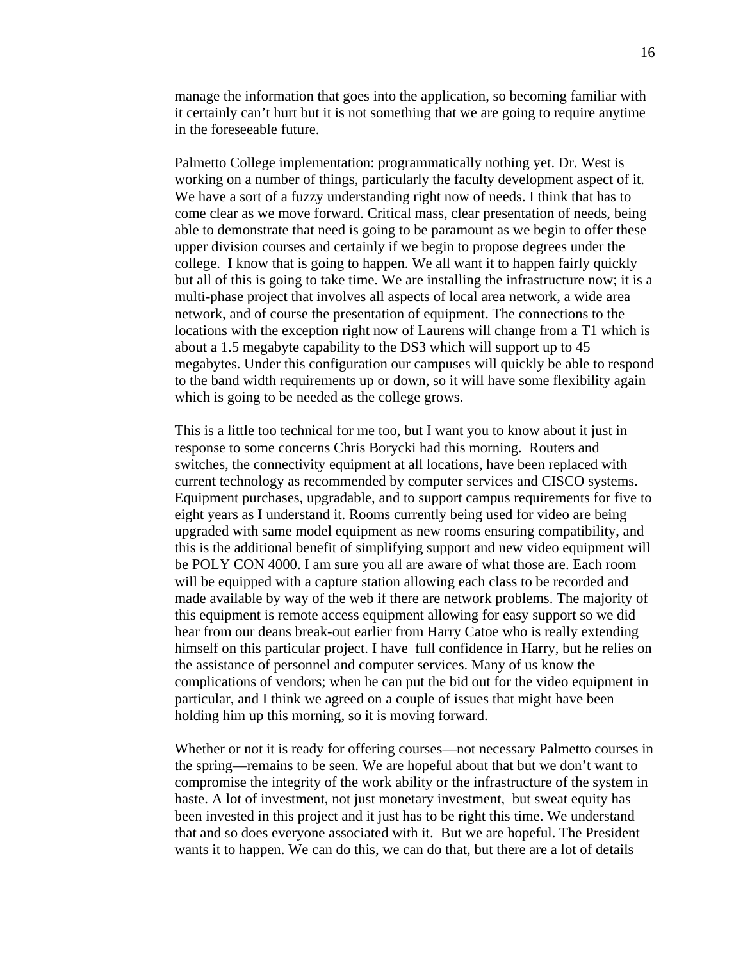manage the information that goes into the application, so becoming familiar with it certainly can't hurt but it is not something that we are going to require anytime in the foreseeable future.

Palmetto College implementation: programmatically nothing yet. Dr. West is working on a number of things, particularly the faculty development aspect of it. We have a sort of a fuzzy understanding right now of needs. I think that has to come clear as we move forward. Critical mass, clear presentation of needs, being able to demonstrate that need is going to be paramount as we begin to offer these upper division courses and certainly if we begin to propose degrees under the college. I know that is going to happen. We all want it to happen fairly quickly but all of this is going to take time. We are installing the infrastructure now; it is a multi-phase project that involves all aspects of local area network, a wide area network, and of course the presentation of equipment. The connections to the locations with the exception right now of Laurens will change from a T1 which is about a 1.5 megabyte capability to the DS3 which will support up to 45 megabytes. Under this configuration our campuses will quickly be able to respond to the band width requirements up or down, so it will have some flexibility again which is going to be needed as the college grows.

This is a little too technical for me too, but I want you to know about it just in response to some concerns Chris Borycki had this morning. Routers and switches, the connectivity equipment at all locations, have been replaced with current technology as recommended by computer services and CISCO systems. Equipment purchases, upgradable, and to support campus requirements for five to eight years as I understand it. Rooms currently being used for video are being upgraded with same model equipment as new rooms ensuring compatibility, and this is the additional benefit of simplifying support and new video equipment will be POLY CON 4000. I am sure you all are aware of what those are. Each room will be equipped with a capture station allowing each class to be recorded and made available by way of the web if there are network problems. The majority of this equipment is remote access equipment allowing for easy support so we did hear from our deans break-out earlier from Harry Catoe who is really extending himself on this particular project. I have full confidence in Harry, but he relies on the assistance of personnel and computer services. Many of us know the complications of vendors; when he can put the bid out for the video equipment in particular, and I think we agreed on a couple of issues that might have been holding him up this morning, so it is moving forward.

Whether or not it is ready for offering courses—not necessary Palmetto courses in the spring—remains to be seen. We are hopeful about that but we don't want to compromise the integrity of the work ability or the infrastructure of the system in haste. A lot of investment, not just monetary investment, but sweat equity has been invested in this project and it just has to be right this time. We understand that and so does everyone associated with it. But we are hopeful. The President wants it to happen. We can do this, we can do that, but there are a lot of details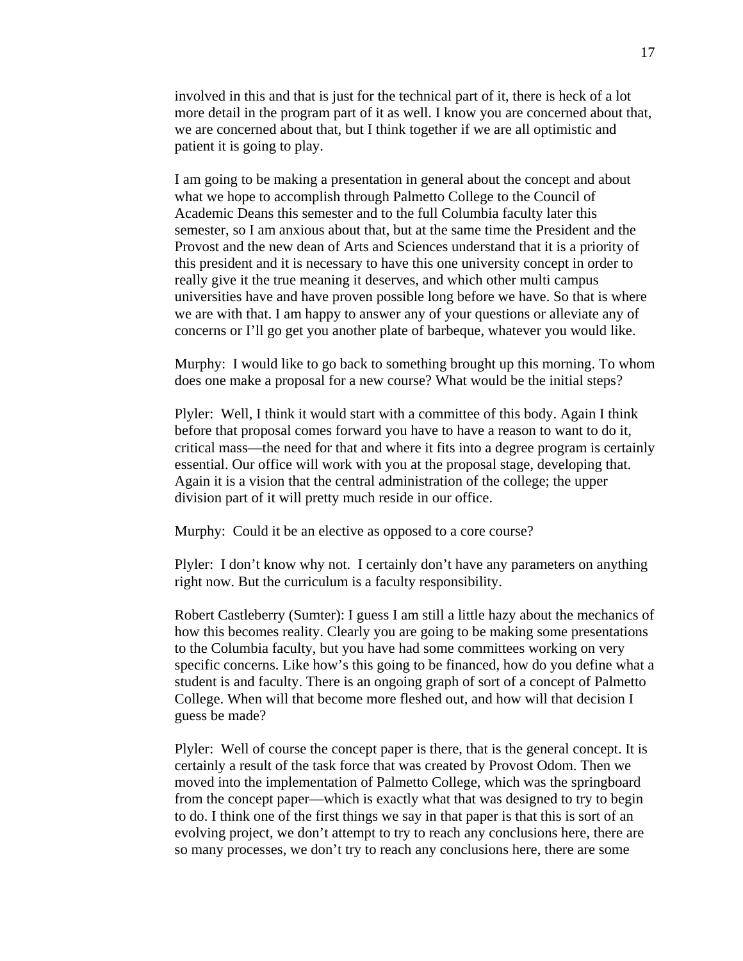involved in this and that is just for the technical part of it, there is heck of a lot more detail in the program part of it as well. I know you are concerned about that, we are concerned about that, but I think together if we are all optimistic and patient it is going to play.

I am going to be making a presentation in general about the concept and about what we hope to accomplish through Palmetto College to the Council of Academic Deans this semester and to the full Columbia faculty later this semester, so I am anxious about that, but at the same time the President and the Provost and the new dean of Arts and Sciences understand that it is a priority of this president and it is necessary to have this one university concept in order to really give it the true meaning it deserves, and which other multi campus universities have and have proven possible long before we have. So that is where we are with that. I am happy to answer any of your questions or alleviate any of concerns or I'll go get you another plate of barbeque, whatever you would like.

Murphy: I would like to go back to something brought up this morning. To whom does one make a proposal for a new course? What would be the initial steps?

Plyler: Well, I think it would start with a committee of this body. Again I think before that proposal comes forward you have to have a reason to want to do it, critical mass—the need for that and where it fits into a degree program is certainly essential. Our office will work with you at the proposal stage, developing that. Again it is a vision that the central administration of the college; the upper division part of it will pretty much reside in our office.

Murphy: Could it be an elective as opposed to a core course?

Plyler: I don't know why not. I certainly don't have any parameters on anything right now. But the curriculum is a faculty responsibility.

Robert Castleberry (Sumter): I guess I am still a little hazy about the mechanics of how this becomes reality. Clearly you are going to be making some presentations to the Columbia faculty, but you have had some committees working on very specific concerns. Like how's this going to be financed, how do you define what a student is and faculty. There is an ongoing graph of sort of a concept of Palmetto College. When will that become more fleshed out, and how will that decision I guess be made?

Plyler: Well of course the concept paper is there, that is the general concept. It is certainly a result of the task force that was created by Provost Odom. Then we moved into the implementation of Palmetto College, which was the springboard from the concept paper—which is exactly what that was designed to try to begin to do. I think one of the first things we say in that paper is that this is sort of an evolving project, we don't attempt to try to reach any conclusions here, there are so many processes, we don't try to reach any conclusions here, there are some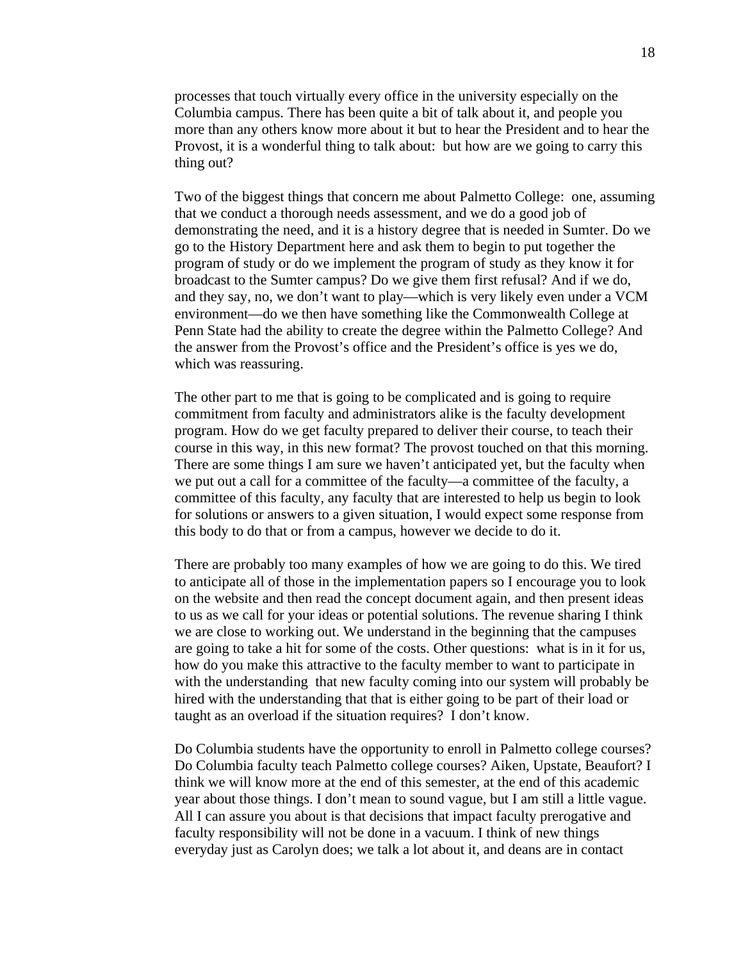processes that touch virtually every office in the university especially on the Columbia campus. There has been quite a bit of talk about it, and people you more than any others know more about it but to hear the President and to hear the Provost, it is a wonderful thing to talk about: but how are we going to carry this thing out?

Two of the biggest things that concern me about Palmetto College: one, assuming that we conduct a thorough needs assessment, and we do a good job of demonstrating the need, and it is a history degree that is needed in Sumter. Do we go to the History Department here and ask them to begin to put together the program of study or do we implement the program of study as they know it for broadcast to the Sumter campus? Do we give them first refusal? And if we do, and they say, no, we don't want to play—which is very likely even under a VCM environment—do we then have something like the Commonwealth College at Penn State had the ability to create the degree within the Palmetto College? And the answer from the Provost's office and the President's office is yes we do, which was reassuring.

The other part to me that is going to be complicated and is going to require commitment from faculty and administrators alike is the faculty development program. How do we get faculty prepared to deliver their course, to teach their course in this way, in this new format? The provost touched on that this morning. There are some things I am sure we haven't anticipated yet, but the faculty when we put out a call for a committee of the faculty—a committee of the faculty, a committee of this faculty, any faculty that are interested to help us begin to look for solutions or answers to a given situation, I would expect some response from this body to do that or from a campus, however we decide to do it.

There are probably too many examples of how we are going to do this. We tired to anticipate all of those in the implementation papers so I encourage you to look on the website and then read the concept document again, and then present ideas to us as we call for your ideas or potential solutions. The revenue sharing I think we are close to working out. We understand in the beginning that the campuses are going to take a hit for some of the costs. Other questions: what is in it for us, how do you make this attractive to the faculty member to want to participate in with the understanding that new faculty coming into our system will probably be hired with the understanding that that is either going to be part of their load or taught as an overload if the situation requires? I don't know.

Do Columbia students have the opportunity to enroll in Palmetto college courses? Do Columbia faculty teach Palmetto college courses? Aiken, Upstate, Beaufort? I think we will know more at the end of this semester, at the end of this academic year about those things. I don't mean to sound vague, but I am still a little vague. All I can assure you about is that decisions that impact faculty prerogative and faculty responsibility will not be done in a vacuum. I think of new things everyday just as Carolyn does; we talk a lot about it, and deans are in contact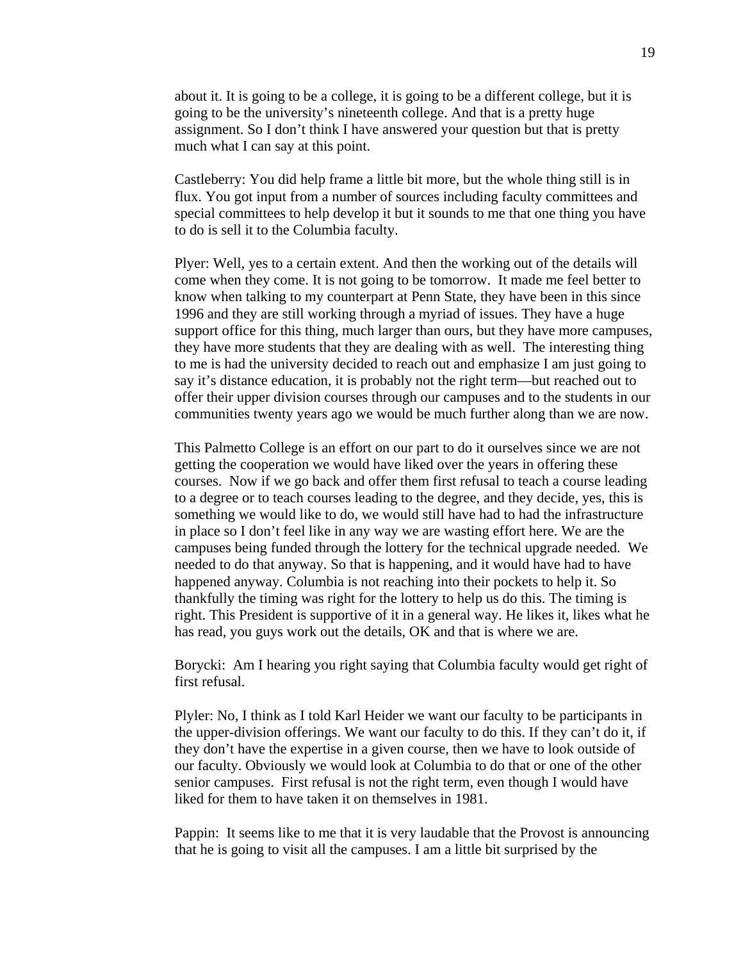about it. It is going to be a college, it is going to be a different college, but it is going to be the university's nineteenth college. And that is a pretty huge assignment. So I don't think I have answered your question but that is pretty much what I can say at this point.

Castleberry: You did help frame a little bit more, but the whole thing still is in flux. You got input from a number of sources including faculty committees and special committees to help develop it but it sounds to me that one thing you have to do is sell it to the Columbia faculty.

Plyer: Well, yes to a certain extent. And then the working out of the details will come when they come. It is not going to be tomorrow. It made me feel better to know when talking to my counterpart at Penn State, they have been in this since 1996 and they are still working through a myriad of issues. They have a huge support office for this thing, much larger than ours, but they have more campuses, they have more students that they are dealing with as well. The interesting thing to me is had the university decided to reach out and emphasize I am just going to say it's distance education, it is probably not the right term—but reached out to offer their upper division courses through our campuses and to the students in our communities twenty years ago we would be much further along than we are now.

This Palmetto College is an effort on our part to do it ourselves since we are not getting the cooperation we would have liked over the years in offering these courses. Now if we go back and offer them first refusal to teach a course leading to a degree or to teach courses leading to the degree, and they decide, yes, this is something we would like to do, we would still have had to had the infrastructure in place so I don't feel like in any way we are wasting effort here. We are the campuses being funded through the lottery for the technical upgrade needed. We needed to do that anyway. So that is happening, and it would have had to have happened anyway. Columbia is not reaching into their pockets to help it. So thankfully the timing was right for the lottery to help us do this. The timing is right. This President is supportive of it in a general way. He likes it, likes what he has read, you guys work out the details, OK and that is where we are.

Borycki: Am I hearing you right saying that Columbia faculty would get right of first refusal.

Plyler: No, I think as I told Karl Heider we want our faculty to be participants in the upper-division offerings. We want our faculty to do this. If they can't do it, if they don't have the expertise in a given course, then we have to look outside of our faculty. Obviously we would look at Columbia to do that or one of the other senior campuses. First refusal is not the right term, even though I would have liked for them to have taken it on themselves in 1981.

Pappin: It seems like to me that it is very laudable that the Provost is announcing that he is going to visit all the campuses. I am a little bit surprised by the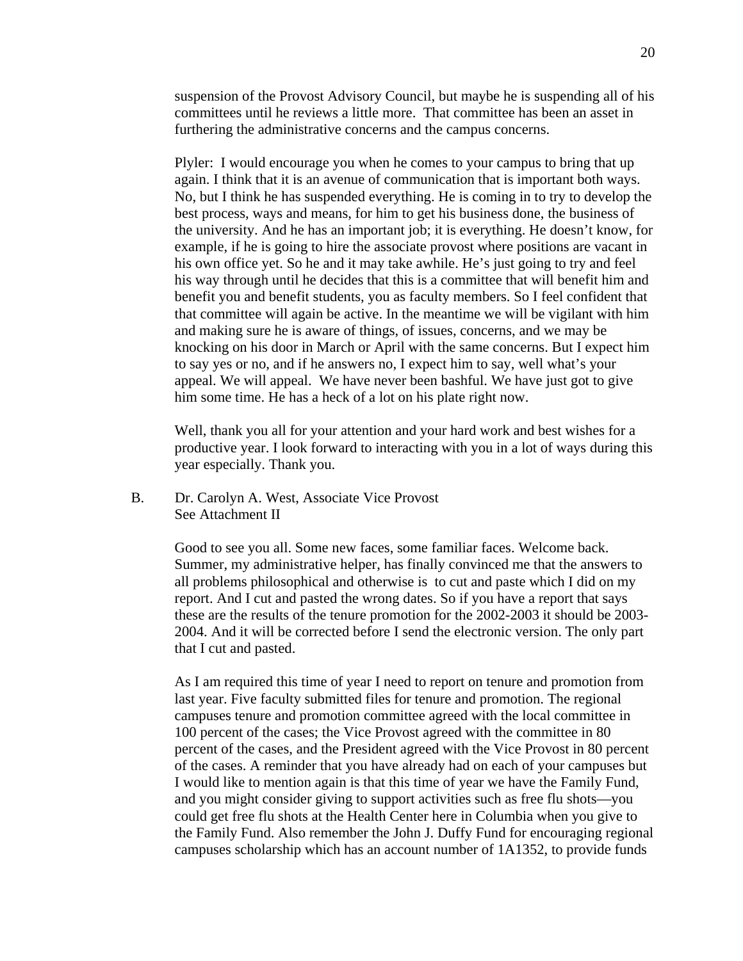suspension of the Provost Advisory Council, but maybe he is suspending all of his committees until he reviews a little more. That committee has been an asset in furthering the administrative concerns and the campus concerns.

Plyler: I would encourage you when he comes to your campus to bring that up again. I think that it is an avenue of communication that is important both ways. No, but I think he has suspended everything. He is coming in to try to develop the best process, ways and means, for him to get his business done, the business of the university. And he has an important job; it is everything. He doesn't know, for example, if he is going to hire the associate provost where positions are vacant in his own office yet. So he and it may take awhile. He's just going to try and feel his way through until he decides that this is a committee that will benefit him and benefit you and benefit students, you as faculty members. So I feel confident that that committee will again be active. In the meantime we will be vigilant with him and making sure he is aware of things, of issues, concerns, and we may be knocking on his door in March or April with the same concerns. But I expect him to say yes or no, and if he answers no, I expect him to say, well what's your appeal. We will appeal. We have never been bashful. We have just got to give him some time. He has a heck of a lot on his plate right now.

Well, thank you all for your attention and your hard work and best wishes for a productive year. I look forward to interacting with you in a lot of ways during this year especially. Thank you.

 B. Dr. Carolyn A. West, Associate Vice Provost See Attachment II

> Good to see you all. Some new faces, some familiar faces. Welcome back. Summer, my administrative helper, has finally convinced me that the answers to all problems philosophical and otherwise is to cut and paste which I did on my report. And I cut and pasted the wrong dates. So if you have a report that says these are the results of the tenure promotion for the 2002-2003 it should be 2003- 2004. And it will be corrected before I send the electronic version. The only part that I cut and pasted.

As I am required this time of year I need to report on tenure and promotion from last year. Five faculty submitted files for tenure and promotion. The regional campuses tenure and promotion committee agreed with the local committee in 100 percent of the cases; the Vice Provost agreed with the committee in 80 percent of the cases, and the President agreed with the Vice Provost in 80 percent of the cases. A reminder that you have already had on each of your campuses but I would like to mention again is that this time of year we have the Family Fund, and you might consider giving to support activities such as free flu shots—you could get free flu shots at the Health Center here in Columbia when you give to the Family Fund. Also remember the John J. Duffy Fund for encouraging regional campuses scholarship which has an account number of 1A1352, to provide funds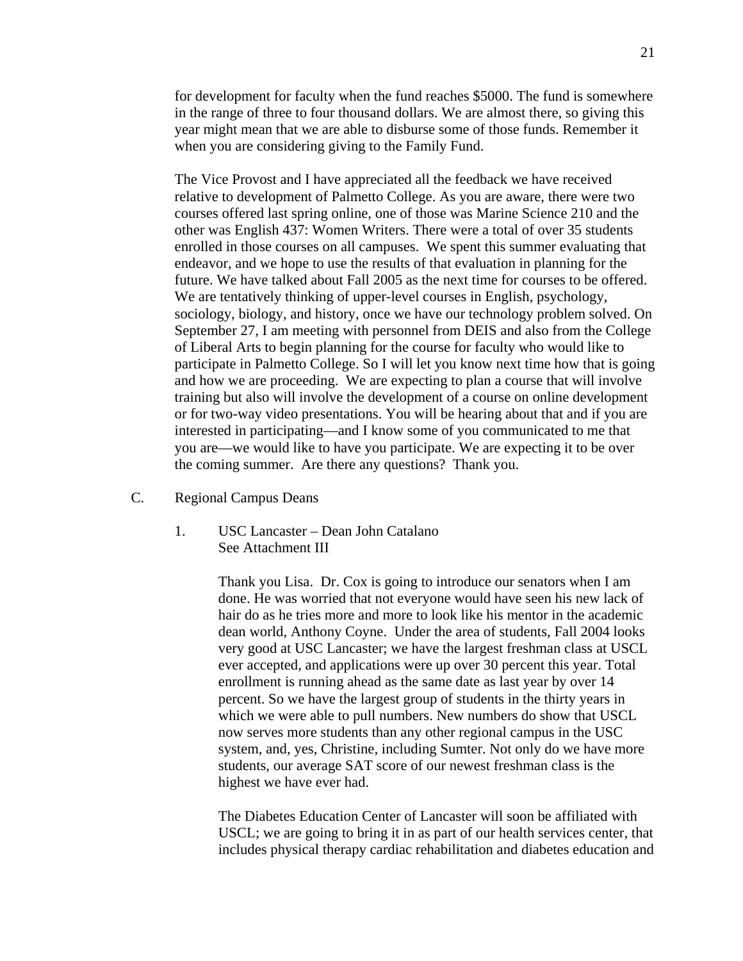for development for faculty when the fund reaches \$5000. The fund is somewhere in the range of three to four thousand dollars. We are almost there, so giving this year might mean that we are able to disburse some of those funds. Remember it when you are considering giving to the Family Fund.

The Vice Provost and I have appreciated all the feedback we have received relative to development of Palmetto College. As you are aware, there were two courses offered last spring online, one of those was Marine Science 210 and the other was English 437: Women Writers. There were a total of over 35 students enrolled in those courses on all campuses. We spent this summer evaluating that endeavor, and we hope to use the results of that evaluation in planning for the future. We have talked about Fall 2005 as the next time for courses to be offered. We are tentatively thinking of upper-level courses in English, psychology, sociology, biology, and history, once we have our technology problem solved. On September 27, I am meeting with personnel from DEIS and also from the College of Liberal Arts to begin planning for the course for faculty who would like to participate in Palmetto College. So I will let you know next time how that is going and how we are proceeding. We are expecting to plan a course that will involve training but also will involve the development of a course on online development or for two-way video presentations. You will be hearing about that and if you are interested in participating—and I know some of you communicated to me that you are—we would like to have you participate. We are expecting it to be over the coming summer. Are there any questions? Thank you.

- C. Regional Campus Deans
	- 1. USC Lancaster Dean John Catalano See Attachment III

Thank you Lisa. Dr. Cox is going to introduce our senators when I am done. He was worried that not everyone would have seen his new lack of hair do as he tries more and more to look like his mentor in the academic dean world, Anthony Coyne. Under the area of students, Fall 2004 looks very good at USC Lancaster; we have the largest freshman class at USCL ever accepted, and applications were up over 30 percent this year. Total enrollment is running ahead as the same date as last year by over 14 percent. So we have the largest group of students in the thirty years in which we were able to pull numbers. New numbers do show that USCL now serves more students than any other regional campus in the USC system, and, yes, Christine, including Sumter. Not only do we have more students, our average SAT score of our newest freshman class is the highest we have ever had.

The Diabetes Education Center of Lancaster will soon be affiliated with USCL; we are going to bring it in as part of our health services center, that includes physical therapy cardiac rehabilitation and diabetes education and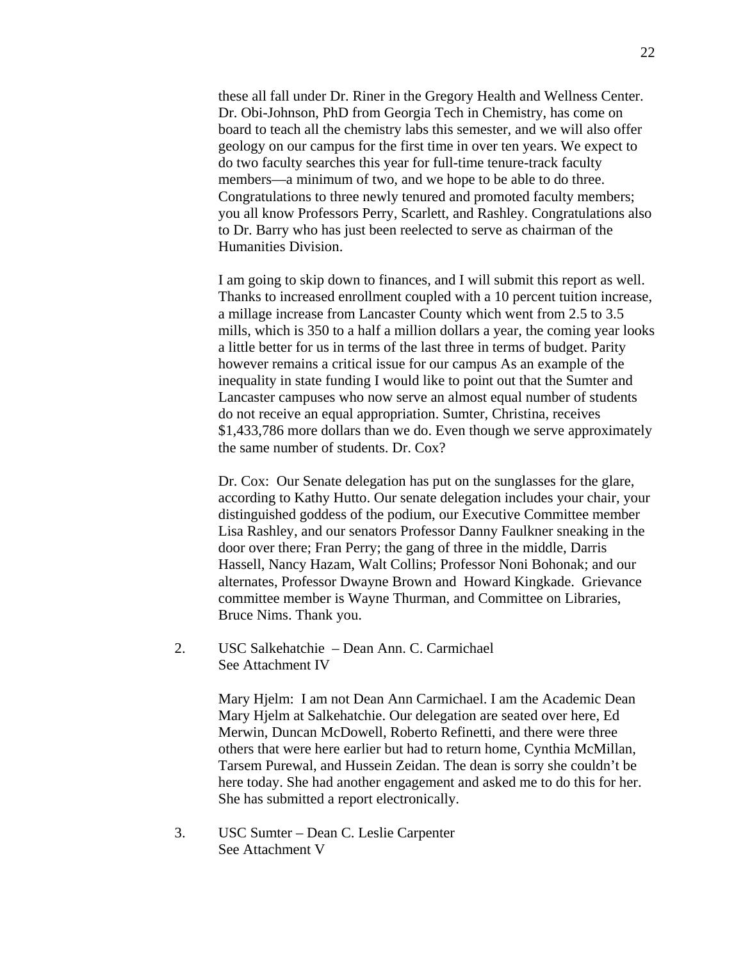these all fall under Dr. Riner in the Gregory Health and Wellness Center. Dr. Obi-Johnson, PhD from Georgia Tech in Chemistry, has come on board to teach all the chemistry labs this semester, and we will also offer geology on our campus for the first time in over ten years. We expect to do two faculty searches this year for full-time tenure-track faculty members—a minimum of two, and we hope to be able to do three. Congratulations to three newly tenured and promoted faculty members; you all know Professors Perry, Scarlett, and Rashley. Congratulations also to Dr. Barry who has just been reelected to serve as chairman of the Humanities Division.

I am going to skip down to finances, and I will submit this report as well. Thanks to increased enrollment coupled with a 10 percent tuition increase, a millage increase from Lancaster County which went from 2.5 to 3.5 mills, which is 350 to a half a million dollars a year, the coming year looks a little better for us in terms of the last three in terms of budget. Parity however remains a critical issue for our campus As an example of the inequality in state funding I would like to point out that the Sumter and Lancaster campuses who now serve an almost equal number of students do not receive an equal appropriation. Sumter, Christina, receives \$1,433,786 more dollars than we do. Even though we serve approximately the same number of students. Dr. Cox?

Dr. Cox: Our Senate delegation has put on the sunglasses for the glare, according to Kathy Hutto. Our senate delegation includes your chair, your distinguished goddess of the podium, our Executive Committee member Lisa Rashley, and our senators Professor Danny Faulkner sneaking in the door over there; Fran Perry; the gang of three in the middle, Darris Hassell, Nancy Hazam, Walt Collins; Professor Noni Bohonak; and our alternates, Professor Dwayne Brown and Howard Kingkade. Grievance committee member is Wayne Thurman, and Committee on Libraries, Bruce Nims. Thank you.

2. USC Salkehatchie – Dean Ann. C. Carmichael See Attachment IV

> Mary Hjelm: I am not Dean Ann Carmichael. I am the Academic Dean Mary Hjelm at Salkehatchie. Our delegation are seated over here, Ed Merwin, Duncan McDowell, Roberto Refinetti, and there were three others that were here earlier but had to return home, Cynthia McMillan, Tarsem Purewal, and Hussein Zeidan. The dean is sorry she couldn't be here today. She had another engagement and asked me to do this for her. She has submitted a report electronically.

 3. USC Sumter – Dean C. Leslie Carpenter See Attachment V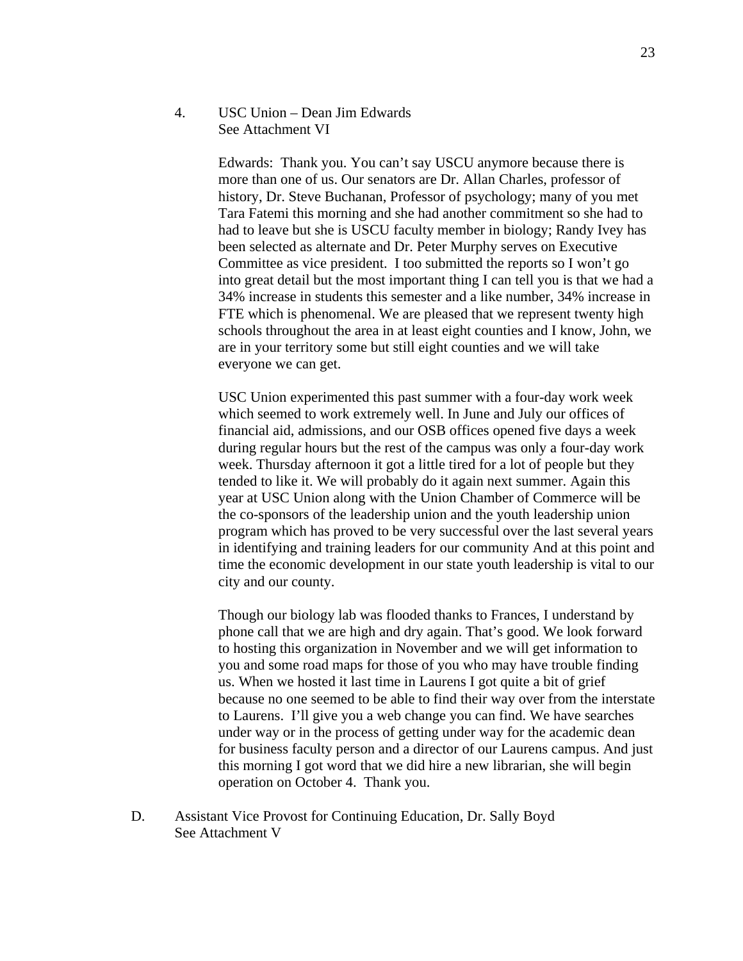#### 4. USC Union – Dean Jim Edwards See Attachment VI

Edwards: Thank you. You can't say USCU anymore because there is more than one of us. Our senators are Dr. Allan Charles, professor of history, Dr. Steve Buchanan, Professor of psychology; many of you met Tara Fatemi this morning and she had another commitment so she had to had to leave but she is USCU faculty member in biology; Randy Ivey has been selected as alternate and Dr. Peter Murphy serves on Executive Committee as vice president. I too submitted the reports so I won't go into great detail but the most important thing I can tell you is that we had a 34% increase in students this semester and a like number, 34% increase in FTE which is phenomenal. We are pleased that we represent twenty high schools throughout the area in at least eight counties and I know, John, we are in your territory some but still eight counties and we will take everyone we can get.

USC Union experimented this past summer with a four-day work week which seemed to work extremely well. In June and July our offices of financial aid, admissions, and our OSB offices opened five days a week during regular hours but the rest of the campus was only a four-day work week. Thursday afternoon it got a little tired for a lot of people but they tended to like it. We will probably do it again next summer. Again this year at USC Union along with the Union Chamber of Commerce will be the co-sponsors of the leadership union and the youth leadership union program which has proved to be very successful over the last several years in identifying and training leaders for our community And at this point and time the economic development in our state youth leadership is vital to our city and our county.

Though our biology lab was flooded thanks to Frances, I understand by phone call that we are high and dry again. That's good. We look forward to hosting this organization in November and we will get information to you and some road maps for those of you who may have trouble finding us. When we hosted it last time in Laurens I got quite a bit of grief because no one seemed to be able to find their way over from the interstate to Laurens. I'll give you a web change you can find. We have searches under way or in the process of getting under way for the academic dean for business faculty person and a director of our Laurens campus. And just this morning I got word that we did hire a new librarian, she will begin operation on October 4. Thank you.

D. Assistant Vice Provost for Continuing Education, Dr. Sally Boyd See Attachment V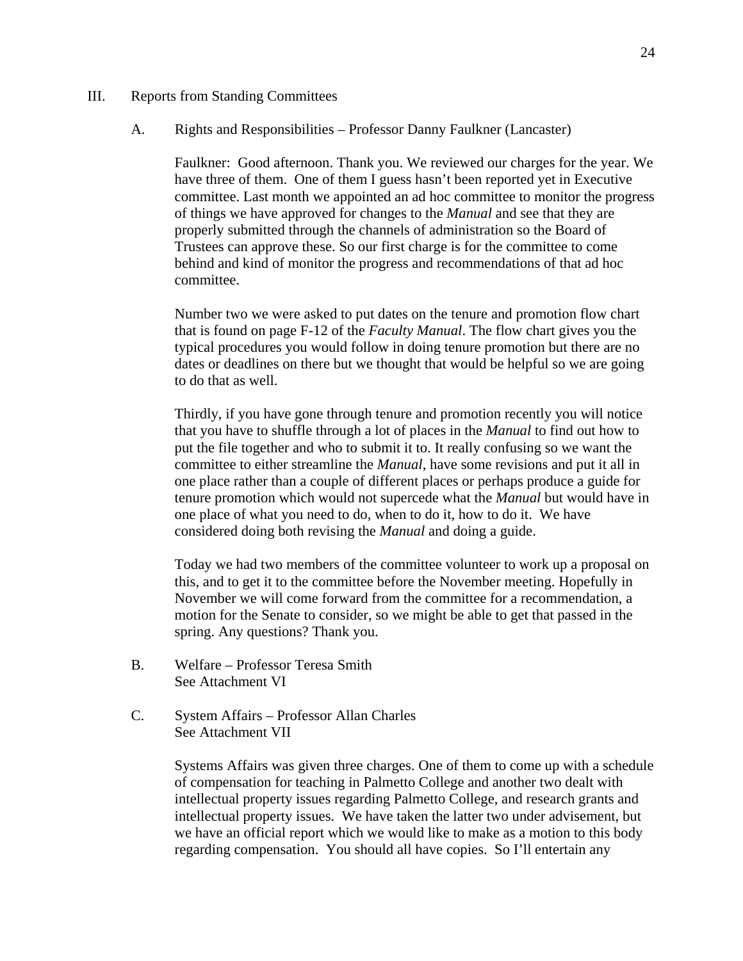#### III. Reports from Standing Committees

#### A. Rights and Responsibilities – Professor Danny Faulkner (Lancaster)

Faulkner: Good afternoon. Thank you. We reviewed our charges for the year. We have three of them. One of them I guess hasn't been reported yet in Executive committee. Last month we appointed an ad hoc committee to monitor the progress of things we have approved for changes to the *Manual* and see that they are properly submitted through the channels of administration so the Board of Trustees can approve these. So our first charge is for the committee to come behind and kind of monitor the progress and recommendations of that ad hoc committee.

Number two we were asked to put dates on the tenure and promotion flow chart that is found on page F-12 of the *Faculty Manual*. The flow chart gives you the typical procedures you would follow in doing tenure promotion but there are no dates or deadlines on there but we thought that would be helpful so we are going to do that as well.

Thirdly, if you have gone through tenure and promotion recently you will notice that you have to shuffle through a lot of places in the *Manual* to find out how to put the file together and who to submit it to. It really confusing so we want the committee to either streamline the *Manual*, have some revisions and put it all in one place rather than a couple of different places or perhaps produce a guide for tenure promotion which would not supercede what the *Manual* but would have in one place of what you need to do, when to do it, how to do it. We have considered doing both revising the *Manual* and doing a guide.

Today we had two members of the committee volunteer to work up a proposal on this, and to get it to the committee before the November meeting. Hopefully in November we will come forward from the committee for a recommendation, a motion for the Senate to consider, so we might be able to get that passed in the spring. Any questions? Thank you.

- B. Welfare Professor Teresa Smith See Attachment VI
- C. System Affairs Professor Allan Charles See Attachment VII

Systems Affairs was given three charges. One of them to come up with a schedule of compensation for teaching in Palmetto College and another two dealt with intellectual property issues regarding Palmetto College, and research grants and intellectual property issues. We have taken the latter two under advisement, but we have an official report which we would like to make as a motion to this body regarding compensation. You should all have copies. So I'll entertain any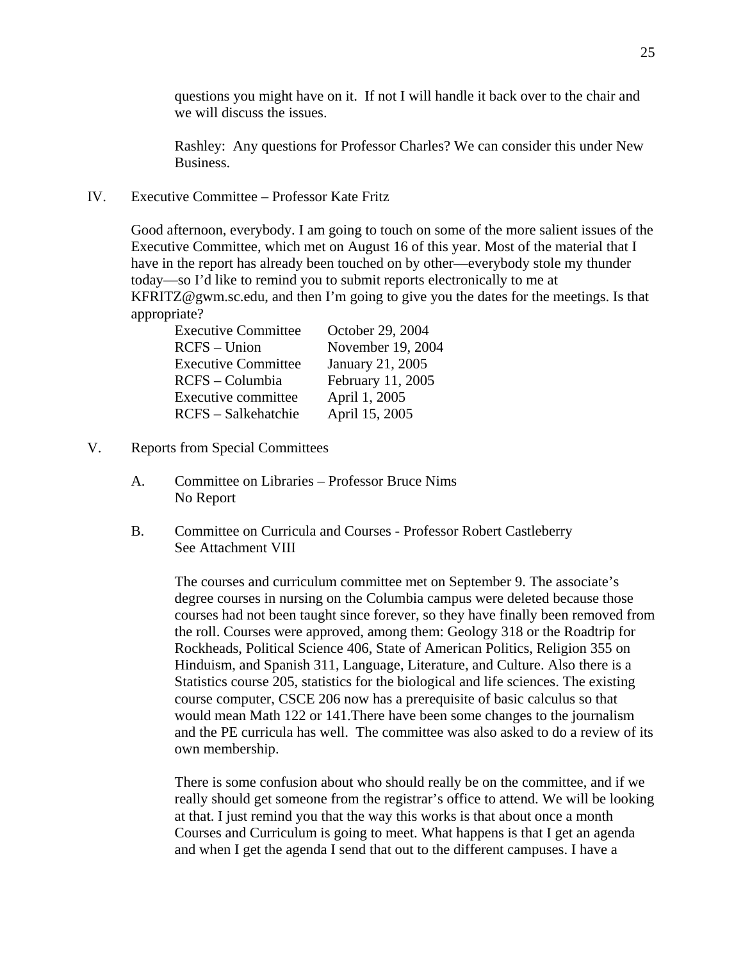questions you might have on it. If not I will handle it back over to the chair and we will discuss the issues.

Rashley: Any questions for Professor Charles? We can consider this under New Business.

IV. Executive Committee – Professor Kate Fritz

Good afternoon, everybody. I am going to touch on some of the more salient issues of the Executive Committee, which met on August 16 of this year. Most of the material that I have in the report has already been touched on by other—everybody stole my thunder today—so I'd like to remind you to submit reports electronically to me at KFRITZ@gwm.sc.edu, and then I'm going to give you the dates for the meetings. Is that appropriate?

| <b>Executive Committee</b> | October 29, 2004  |
|----------------------------|-------------------|
| $RCFS - Union$             | November 19, 2004 |
| <b>Executive Committee</b> | January 21, 2005  |
| RCFS - Columbia            | February 11, 2005 |
| Executive committee        | April 1, 2005     |
| RCFS - Salkehatchie        | April 15, 2005    |

- V. Reports from Special Committees
	- A. Committee on Libraries Professor Bruce Nims No Report
	- B. Committee on Curricula and Courses Professor Robert Castleberry See Attachment VIII

The courses and curriculum committee met on September 9. The associate's degree courses in nursing on the Columbia campus were deleted because those courses had not been taught since forever, so they have finally been removed from the roll. Courses were approved, among them: Geology 318 or the Roadtrip for Rockheads, Political Science 406, State of American Politics, Religion 355 on Hinduism, and Spanish 311, Language, Literature, and Culture. Also there is a Statistics course 205, statistics for the biological and life sciences. The existing course computer, CSCE 206 now has a prerequisite of basic calculus so that would mean Math 122 or 141.There have been some changes to the journalism and the PE curricula has well. The committee was also asked to do a review of its own membership.

There is some confusion about who should really be on the committee, and if we really should get someone from the registrar's office to attend. We will be looking at that. I just remind you that the way this works is that about once a month Courses and Curriculum is going to meet. What happens is that I get an agenda and when I get the agenda I send that out to the different campuses. I have a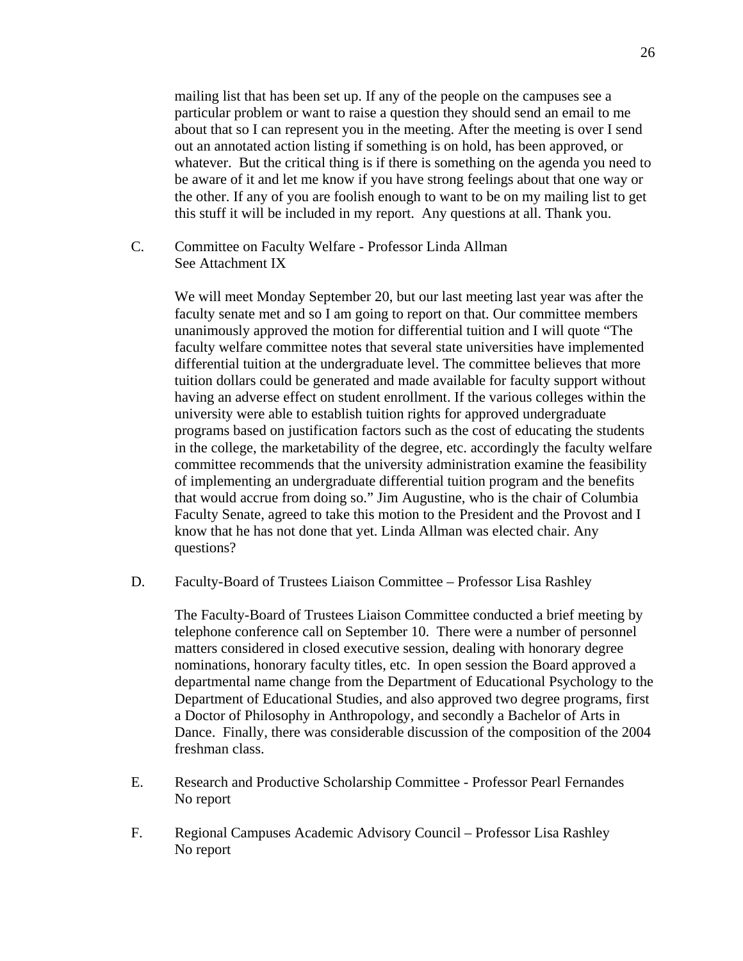mailing list that has been set up. If any of the people on the campuses see a particular problem or want to raise a question they should send an email to me about that so I can represent you in the meeting. After the meeting is over I send out an annotated action listing if something is on hold, has been approved, or whatever. But the critical thing is if there is something on the agenda you need to be aware of it and let me know if you have strong feelings about that one way or the other. If any of you are foolish enough to want to be on my mailing list to get this stuff it will be included in my report. Any questions at all. Thank you.

 C. Committee on Faculty Welfare - Professor Linda Allman See Attachment IX

> We will meet Monday September 20, but our last meeting last year was after the faculty senate met and so I am going to report on that. Our committee members unanimously approved the motion for differential tuition and I will quote "The faculty welfare committee notes that several state universities have implemented differential tuition at the undergraduate level. The committee believes that more tuition dollars could be generated and made available for faculty support without having an adverse effect on student enrollment. If the various colleges within the university were able to establish tuition rights for approved undergraduate programs based on justification factors such as the cost of educating the students in the college, the marketability of the degree, etc. accordingly the faculty welfare committee recommends that the university administration examine the feasibility of implementing an undergraduate differential tuition program and the benefits that would accrue from doing so." Jim Augustine, who is the chair of Columbia Faculty Senate, agreed to take this motion to the President and the Provost and I know that he has not done that yet. Linda Allman was elected chair. Any questions?

D. Faculty-Board of Trustees Liaison Committee – Professor Lisa Rashley

The Faculty-Board of Trustees Liaison Committee conducted a brief meeting by telephone conference call on September 10. There were a number of personnel matters considered in closed executive session, dealing with honorary degree nominations, honorary faculty titles, etc. In open session the Board approved a departmental name change from the Department of Educational Psychology to the Department of Educational Studies, and also approved two degree programs, first a Doctor of Philosophy in Anthropology, and secondly a Bachelor of Arts in Dance. Finally, there was considerable discussion of the composition of the 2004 freshman class.

- E. Research and Productive Scholarship Committee Professor Pearl Fernandes No report
- F. Regional Campuses Academic Advisory Council Professor Lisa Rashley No report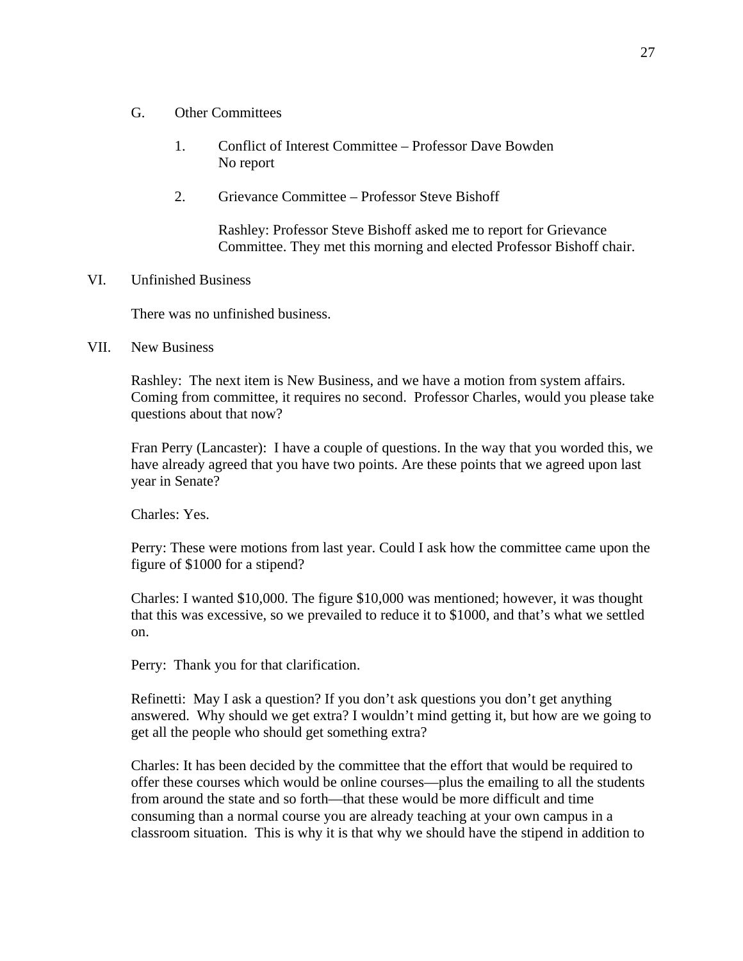- G. Other Committees
	- 1. Conflict of Interest Committee Professor Dave Bowden No report
	- 2. Grievance Committee Professor Steve Bishoff

Rashley: Professor Steve Bishoff asked me to report for Grievance Committee. They met this morning and elected Professor Bishoff chair.

VI. Unfinished Business

There was no unfinished business.

VII. New Business

Rashley: The next item is New Business, and we have a motion from system affairs. Coming from committee, it requires no second. Professor Charles, would you please take questions about that now?

Fran Perry (Lancaster): I have a couple of questions. In the way that you worded this, we have already agreed that you have two points. Are these points that we agreed upon last year in Senate?

Charles: Yes.

Perry: These were motions from last year. Could I ask how the committee came upon the figure of \$1000 for a stipend?

Charles: I wanted \$10,000. The figure \$10,000 was mentioned; however, it was thought that this was excessive, so we prevailed to reduce it to \$1000, and that's what we settled on.

Perry: Thank you for that clarification.

Refinetti: May I ask a question? If you don't ask questions you don't get anything answered. Why should we get extra? I wouldn't mind getting it, but how are we going to get all the people who should get something extra?

Charles: It has been decided by the committee that the effort that would be required to offer these courses which would be online courses—plus the emailing to all the students from around the state and so forth—that these would be more difficult and time consuming than a normal course you are already teaching at your own campus in a classroom situation. This is why it is that why we should have the stipend in addition to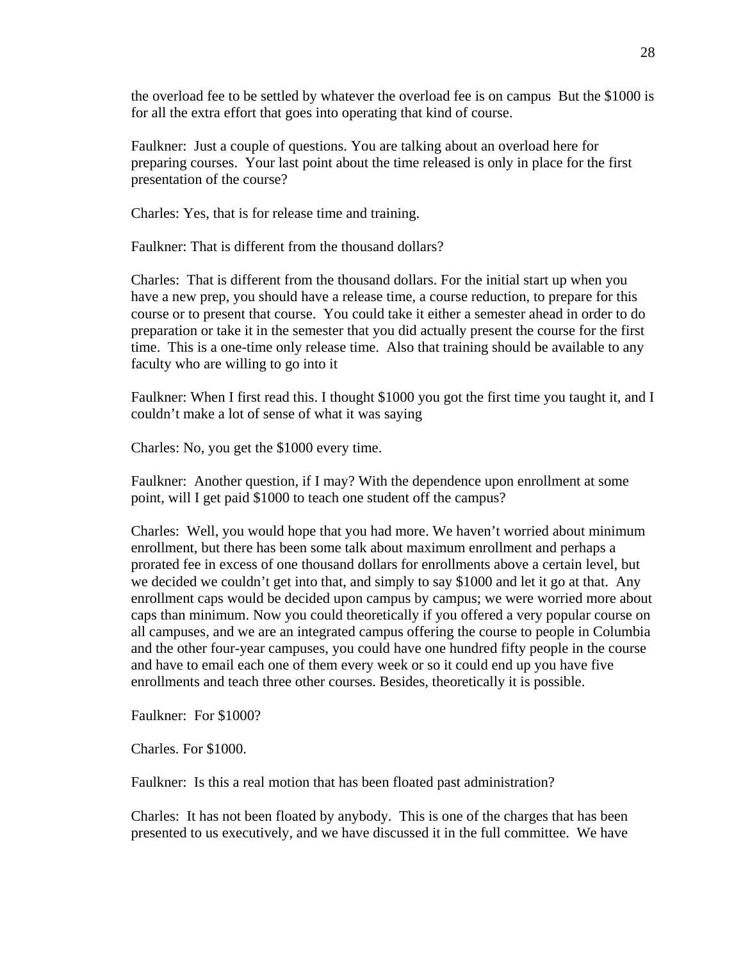the overload fee to be settled by whatever the overload fee is on campus But the \$1000 is for all the extra effort that goes into operating that kind of course.

Faulkner: Just a couple of questions. You are talking about an overload here for preparing courses. Your last point about the time released is only in place for the first presentation of the course?

Charles: Yes, that is for release time and training.

Faulkner: That is different from the thousand dollars?

Charles: That is different from the thousand dollars. For the initial start up when you have a new prep, you should have a release time, a course reduction, to prepare for this course or to present that course. You could take it either a semester ahead in order to do preparation or take it in the semester that you did actually present the course for the first time. This is a one-time only release time. Also that training should be available to any faculty who are willing to go into it

Faulkner: When I first read this. I thought \$1000 you got the first time you taught it, and I couldn't make a lot of sense of what it was saying

Charles: No, you get the \$1000 every time.

Faulkner: Another question, if I may? With the dependence upon enrollment at some point, will I get paid \$1000 to teach one student off the campus?

Charles: Well, you would hope that you had more. We haven't worried about minimum enrollment, but there has been some talk about maximum enrollment and perhaps a prorated fee in excess of one thousand dollars for enrollments above a certain level, but we decided we couldn't get into that, and simply to say \$1000 and let it go at that. Any enrollment caps would be decided upon campus by campus; we were worried more about caps than minimum. Now you could theoretically if you offered a very popular course on all campuses, and we are an integrated campus offering the course to people in Columbia and the other four-year campuses, you could have one hundred fifty people in the course and have to email each one of them every week or so it could end up you have five enrollments and teach three other courses. Besides, theoretically it is possible.

Faulkner: For \$1000?

Charles. For \$1000.

Faulkner: Is this a real motion that has been floated past administration?

Charles: It has not been floated by anybody. This is one of the charges that has been presented to us executively, and we have discussed it in the full committee. We have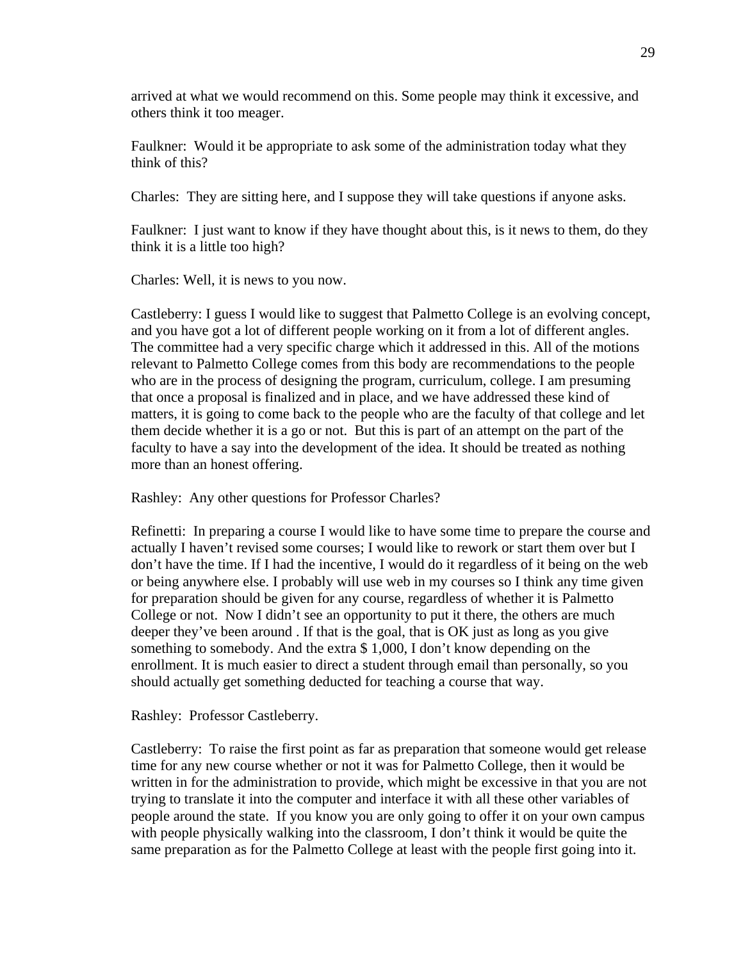arrived at what we would recommend on this. Some people may think it excessive, and others think it too meager.

Faulkner: Would it be appropriate to ask some of the administration today what they think of this?

Charles: They are sitting here, and I suppose they will take questions if anyone asks.

Faulkner: I just want to know if they have thought about this, is it news to them, do they think it is a little too high?

Charles: Well, it is news to you now.

Castleberry: I guess I would like to suggest that Palmetto College is an evolving concept, and you have got a lot of different people working on it from a lot of different angles. The committee had a very specific charge which it addressed in this. All of the motions relevant to Palmetto College comes from this body are recommendations to the people who are in the process of designing the program, curriculum, college. I am presuming that once a proposal is finalized and in place, and we have addressed these kind of matters, it is going to come back to the people who are the faculty of that college and let them decide whether it is a go or not. But this is part of an attempt on the part of the faculty to have a say into the development of the idea. It should be treated as nothing more than an honest offering.

Rashley: Any other questions for Professor Charles?

Refinetti: In preparing a course I would like to have some time to prepare the course and actually I haven't revised some courses; I would like to rework or start them over but I don't have the time. If I had the incentive, I would do it regardless of it being on the web or being anywhere else. I probably will use web in my courses so I think any time given for preparation should be given for any course, regardless of whether it is Palmetto College or not. Now I didn't see an opportunity to put it there, the others are much deeper they've been around . If that is the goal, that is OK just as long as you give something to somebody. And the extra \$ 1,000, I don't know depending on the enrollment. It is much easier to direct a student through email than personally, so you should actually get something deducted for teaching a course that way.

Rashley: Professor Castleberry.

Castleberry: To raise the first point as far as preparation that someone would get release time for any new course whether or not it was for Palmetto College, then it would be written in for the administration to provide, which might be excessive in that you are not trying to translate it into the computer and interface it with all these other variables of people around the state. If you know you are only going to offer it on your own campus with people physically walking into the classroom, I don't think it would be quite the same preparation as for the Palmetto College at least with the people first going into it.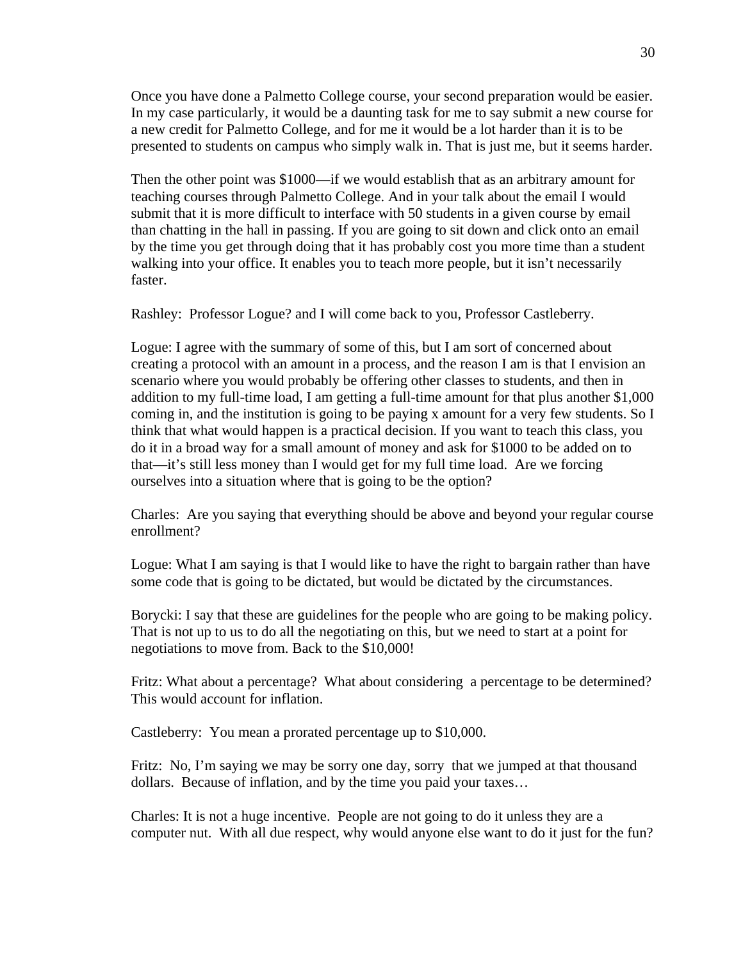Once you have done a Palmetto College course, your second preparation would be easier. In my case particularly, it would be a daunting task for me to say submit a new course for a new credit for Palmetto College, and for me it would be a lot harder than it is to be presented to students on campus who simply walk in. That is just me, but it seems harder.

Then the other point was \$1000—if we would establish that as an arbitrary amount for teaching courses through Palmetto College. And in your talk about the email I would submit that it is more difficult to interface with 50 students in a given course by email than chatting in the hall in passing. If you are going to sit down and click onto an email by the time you get through doing that it has probably cost you more time than a student walking into your office. It enables you to teach more people, but it isn't necessarily faster.

Rashley: Professor Logue? and I will come back to you, Professor Castleberry.

Logue: I agree with the summary of some of this, but I am sort of concerned about creating a protocol with an amount in a process, and the reason I am is that I envision an scenario where you would probably be offering other classes to students, and then in addition to my full-time load, I am getting a full-time amount for that plus another \$1,000 coming in, and the institution is going to be paying x amount for a very few students. So I think that what would happen is a practical decision. If you want to teach this class, you do it in a broad way for a small amount of money and ask for \$1000 to be added on to that—it's still less money than I would get for my full time load. Are we forcing ourselves into a situation where that is going to be the option?

Charles: Are you saying that everything should be above and beyond your regular course enrollment?

Logue: What I am saying is that I would like to have the right to bargain rather than have some code that is going to be dictated, but would be dictated by the circumstances.

Borycki: I say that these are guidelines for the people who are going to be making policy. That is not up to us to do all the negotiating on this, but we need to start at a point for negotiations to move from. Back to the \$10,000!

Fritz: What about a percentage? What about considering a percentage to be determined? This would account for inflation.

Castleberry: You mean a prorated percentage up to \$10,000.

Fritz: No, I'm saying we may be sorry one day, sorry that we jumped at that thousand dollars. Because of inflation, and by the time you paid your taxes…

Charles: It is not a huge incentive. People are not going to do it unless they are a computer nut. With all due respect, why would anyone else want to do it just for the fun?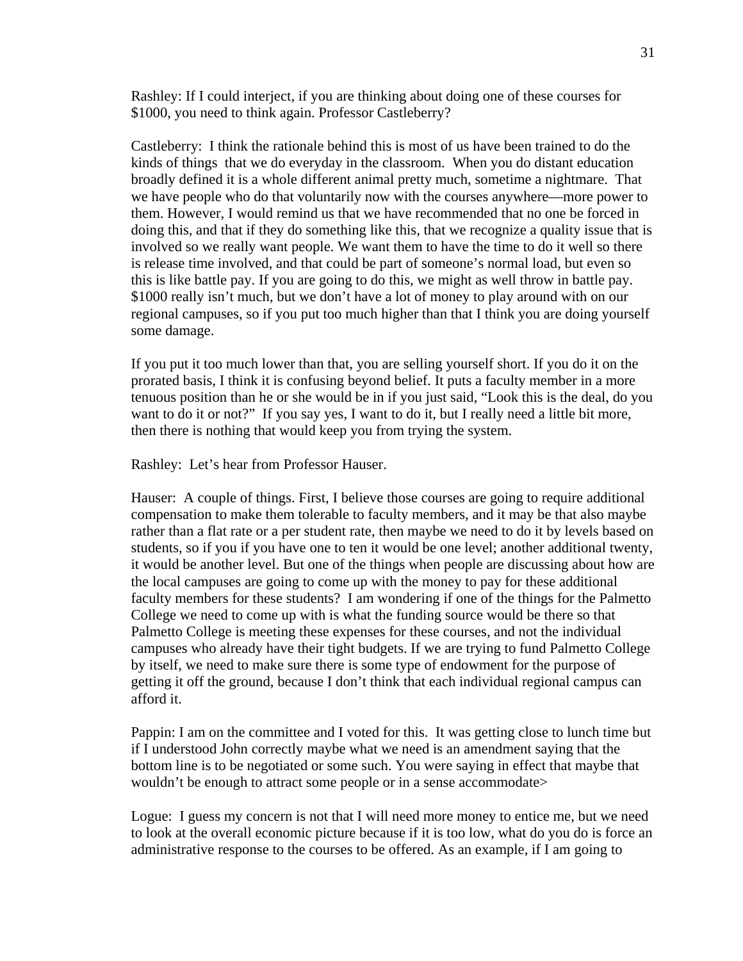Rashley: If I could interject, if you are thinking about doing one of these courses for \$1000, you need to think again. Professor Castleberry?

Castleberry: I think the rationale behind this is most of us have been trained to do the kinds of things that we do everyday in the classroom. When you do distant education broadly defined it is a whole different animal pretty much, sometime a nightmare. That we have people who do that voluntarily now with the courses anywhere—more power to them. However, I would remind us that we have recommended that no one be forced in doing this, and that if they do something like this, that we recognize a quality issue that is involved so we really want people. We want them to have the time to do it well so there is release time involved, and that could be part of someone's normal load, but even so this is like battle pay. If you are going to do this, we might as well throw in battle pay. \$1000 really isn't much, but we don't have a lot of money to play around with on our regional campuses, so if you put too much higher than that I think you are doing yourself some damage.

If you put it too much lower than that, you are selling yourself short. If you do it on the prorated basis, I think it is confusing beyond belief. It puts a faculty member in a more tenuous position than he or she would be in if you just said, "Look this is the deal, do you want to do it or not?" If you say yes, I want to do it, but I really need a little bit more, then there is nothing that would keep you from trying the system.

Rashley: Let's hear from Professor Hauser.

Hauser: A couple of things. First, I believe those courses are going to require additional compensation to make them tolerable to faculty members, and it may be that also maybe rather than a flat rate or a per student rate, then maybe we need to do it by levels based on students, so if you if you have one to ten it would be one level; another additional twenty, it would be another level. But one of the things when people are discussing about how are the local campuses are going to come up with the money to pay for these additional faculty members for these students? I am wondering if one of the things for the Palmetto College we need to come up with is what the funding source would be there so that Palmetto College is meeting these expenses for these courses, and not the individual campuses who already have their tight budgets. If we are trying to fund Palmetto College by itself, we need to make sure there is some type of endowment for the purpose of getting it off the ground, because I don't think that each individual regional campus can afford it.

Pappin: I am on the committee and I voted for this. It was getting close to lunch time but if I understood John correctly maybe what we need is an amendment saying that the bottom line is to be negotiated or some such. You were saying in effect that maybe that wouldn't be enough to attract some people or in a sense accommodate>

Logue: I guess my concern is not that I will need more money to entice me, but we need to look at the overall economic picture because if it is too low, what do you do is force an administrative response to the courses to be offered. As an example, if I am going to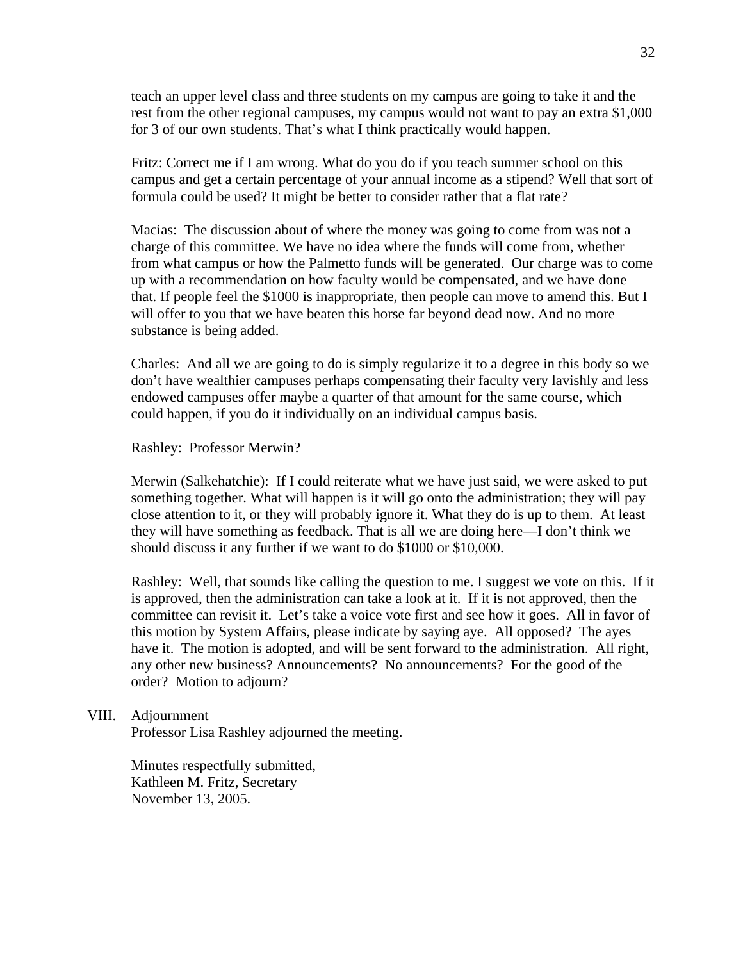teach an upper level class and three students on my campus are going to take it and the rest from the other regional campuses, my campus would not want to pay an extra \$1,000 for 3 of our own students. That's what I think practically would happen.

Fritz: Correct me if I am wrong. What do you do if you teach summer school on this campus and get a certain percentage of your annual income as a stipend? Well that sort of formula could be used? It might be better to consider rather that a flat rate?

Macias: The discussion about of where the money was going to come from was not a charge of this committee. We have no idea where the funds will come from, whether from what campus or how the Palmetto funds will be generated. Our charge was to come up with a recommendation on how faculty would be compensated, and we have done that. If people feel the \$1000 is inappropriate, then people can move to amend this. But I will offer to you that we have beaten this horse far beyond dead now. And no more substance is being added.

Charles: And all we are going to do is simply regularize it to a degree in this body so we don't have wealthier campuses perhaps compensating their faculty very lavishly and less endowed campuses offer maybe a quarter of that amount for the same course, which could happen, if you do it individually on an individual campus basis.

Rashley: Professor Merwin?

Merwin (Salkehatchie): If I could reiterate what we have just said, we were asked to put something together. What will happen is it will go onto the administration; they will pay close attention to it, or they will probably ignore it. What they do is up to them. At least they will have something as feedback. That is all we are doing here—I don't think we should discuss it any further if we want to do \$1000 or \$10,000.

Rashley: Well, that sounds like calling the question to me. I suggest we vote on this. If it is approved, then the administration can take a look at it. If it is not approved, then the committee can revisit it. Let's take a voice vote first and see how it goes. All in favor of this motion by System Affairs, please indicate by saying aye. All opposed? The ayes have it. The motion is adopted, and will be sent forward to the administration. All right, any other new business? Announcements? No announcements? For the good of the order? Motion to adjourn?

#### VIII. Adjournment

Professor Lisa Rashley adjourned the meeting.

Minutes respectfully submitted, Kathleen M. Fritz, Secretary November 13, 2005.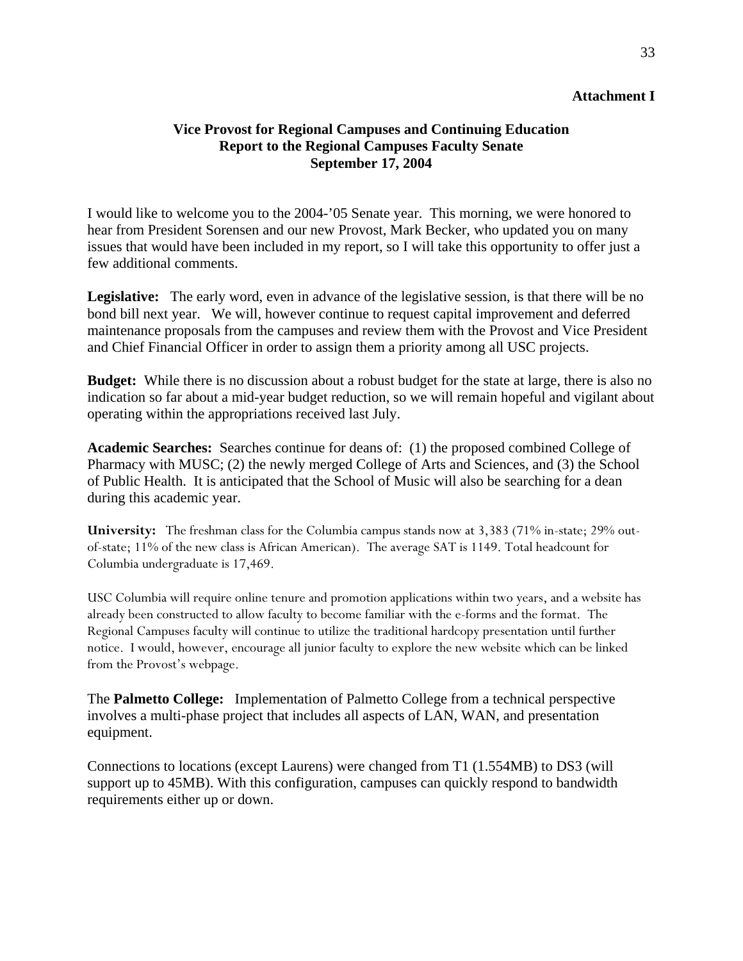# **Attachment I**

### **Vice Provost for Regional Campuses and Continuing Education Report to the Regional Campuses Faculty Senate September 17, 2004**

I would like to welcome you to the 2004-'05 Senate year. This morning, we were honored to hear from President Sorensen and our new Provost, Mark Becker, who updated you on many issues that would have been included in my report, so I will take this opportunity to offer just a few additional comments.

**Legislative:** The early word, even in advance of the legislative session, is that there will be no bond bill next year. We will, however continue to request capital improvement and deferred maintenance proposals from the campuses and review them with the Provost and Vice President and Chief Financial Officer in order to assign them a priority among all USC projects.

**Budget:** While there is no discussion about a robust budget for the state at large, there is also no indication so far about a mid-year budget reduction, so we will remain hopeful and vigilant about operating within the appropriations received last July.

**Academic Searches:** Searches continue for deans of: (1) the proposed combined College of Pharmacy with MUSC; (2) the newly merged College of Arts and Sciences, and (3) the School of Public Health. It is anticipated that the School of Music will also be searching for a dean during this academic year.

**University:** The freshman class for the Columbia campus stands now at 3,383 (71% in-state; 29% outof-state; 11% of the new class is African American). The average SAT is 1149. Total headcount for Columbia undergraduate is 17,469.

USC Columbia will require online tenure and promotion applications within two years, and a website has already been constructed to allow faculty to become familiar with the e-forms and the format. The Regional Campuses faculty will continue to utilize the traditional hardcopy presentation until further notice. I would, however, encourage all junior faculty to explore the new website which can be linked from the Provost's webpage.

The **Palmetto College:** Implementation of Palmetto College from a technical perspective involves a multi-phase project that includes all aspects of LAN, WAN, and presentation equipment.

Connections to locations (except Laurens) were changed from T1 (1.554MB) to DS3 (will support up to 45MB). With this configuration, campuses can quickly respond to bandwidth requirements either up or down.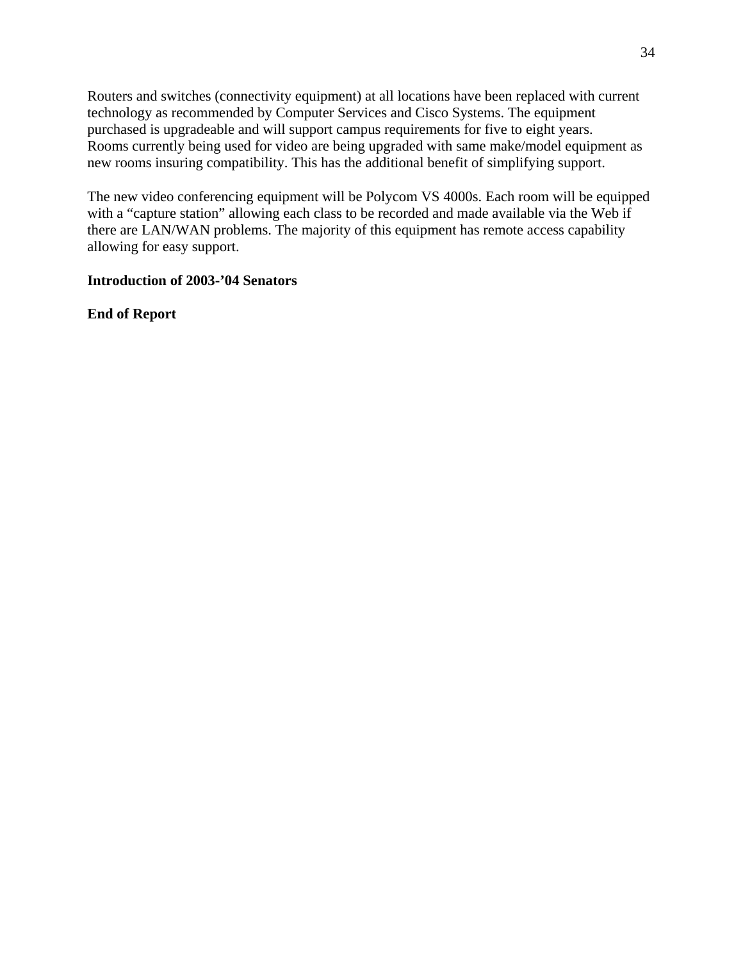Routers and switches (connectivity equipment) at all locations have been replaced with current technology as recommended by Computer Services and Cisco Systems. The equipment purchased is upgradeable and will support campus requirements for five to eight years. Rooms currently being used for video are being upgraded with same make/model equipment as new rooms insuring compatibility. This has the additional benefit of simplifying support.

The new video conferencing equipment will be Polycom VS 4000s. Each room will be equipped with a "capture station" allowing each class to be recorded and made available via the Web if there are LAN/WAN problems. The majority of this equipment has remote access capability allowing for easy support.

#### **Introduction of 2003-'04 Senators**

**End of Report**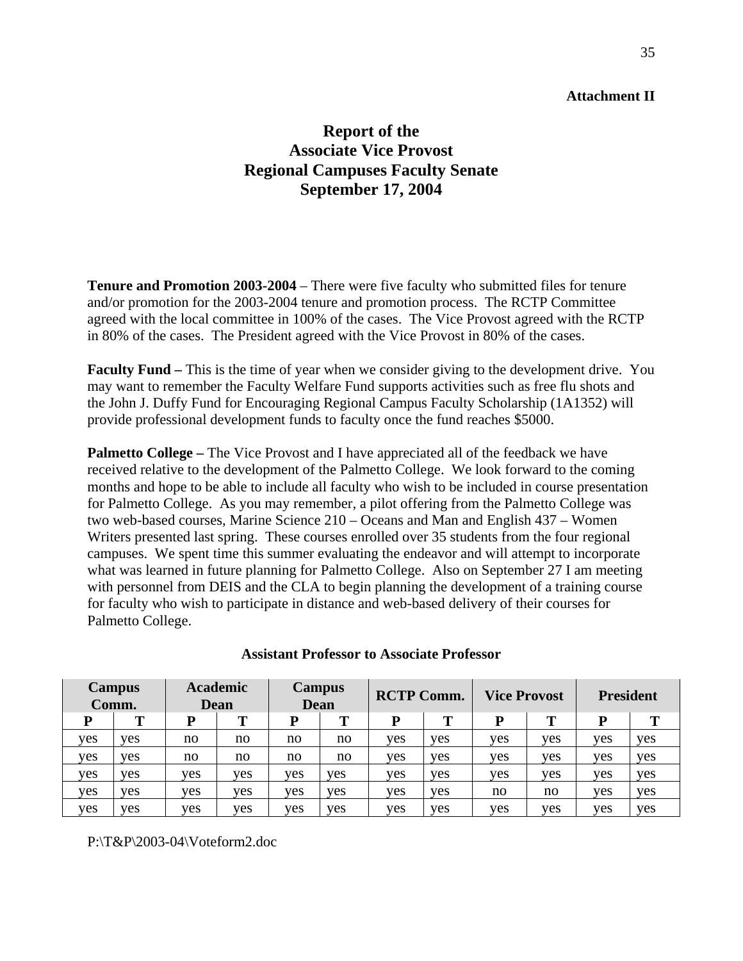### **Attachment II**

# **Report of the Associate Vice Provost Regional Campuses Faculty Senate September 17, 2004**

**Tenure and Promotion 2003-2004** – There were five faculty who submitted files for tenure and/or promotion for the 2003-2004 tenure and promotion process. The RCTP Committee agreed with the local committee in 100% of the cases. The Vice Provost agreed with the RCTP in 80% of the cases. The President agreed with the Vice Provost in 80% of the cases.

**Faculty Fund –** This is the time of year when we consider giving to the development drive. You may want to remember the Faculty Welfare Fund supports activities such as free flu shots and the John J. Duffy Fund for Encouraging Regional Campus Faculty Scholarship (1A1352) will provide professional development funds to faculty once the fund reaches \$5000.

**Palmetto College** – The Vice Provost and I have appreciated all of the feedback we have received relative to the development of the Palmetto College. We look forward to the coming months and hope to be able to include all faculty who wish to be included in course presentation for Palmetto College. As you may remember, a pilot offering from the Palmetto College was two web-based courses, Marine Science 210 – Oceans and Man and English 437 – Women Writers presented last spring. These courses enrolled over 35 students from the four regional campuses. We spent time this summer evaluating the endeavor and will attempt to incorporate what was learned in future planning for Palmetto College. Also on September 27 I am meeting with personnel from DEIS and the CLA to begin planning the development of a training course for faculty who wish to participate in distance and web-based delivery of their courses for Palmetto College.

| <b>Campus</b><br>Comm. |     |     | <b>Academic</b><br>Dean | <b>Campus</b><br>Dean |     | <b>RCTP Comm.</b> |            | <b>Vice Provost</b> |     | <b>President</b> |     |
|------------------------|-----|-----|-------------------------|-----------------------|-----|-------------------|------------|---------------------|-----|------------------|-----|
| P                      | т   | P   | т                       | P                     | т   | P                 | m          | D                   | T   | P                | T   |
| ves                    | yes | no  | no                      | no                    | no  | ves               | ves        | <b>ves</b>          | ves | ves              | yes |
| ves                    | yes | no  | no                      | no                    | no  | ves               | ves        | yes                 | ves | ves              | yes |
| ves                    | yes | ves | ves                     | <b>ves</b>            | yes | ves               | ves        | <b>ves</b>          | ves | ves              | yes |
| yes                    | yes | ves | ves                     | ves                   | yes | ves               | <b>ves</b> | no                  | no  | ves              | yes |
| ves                    | yes | ves | ves                     | ves                   | yes | ves               | yes        | ves                 | ves | ves              | yes |

**Assistant Professor to Associate Professor** 

P:\T&P\2003-04\Voteform2.doc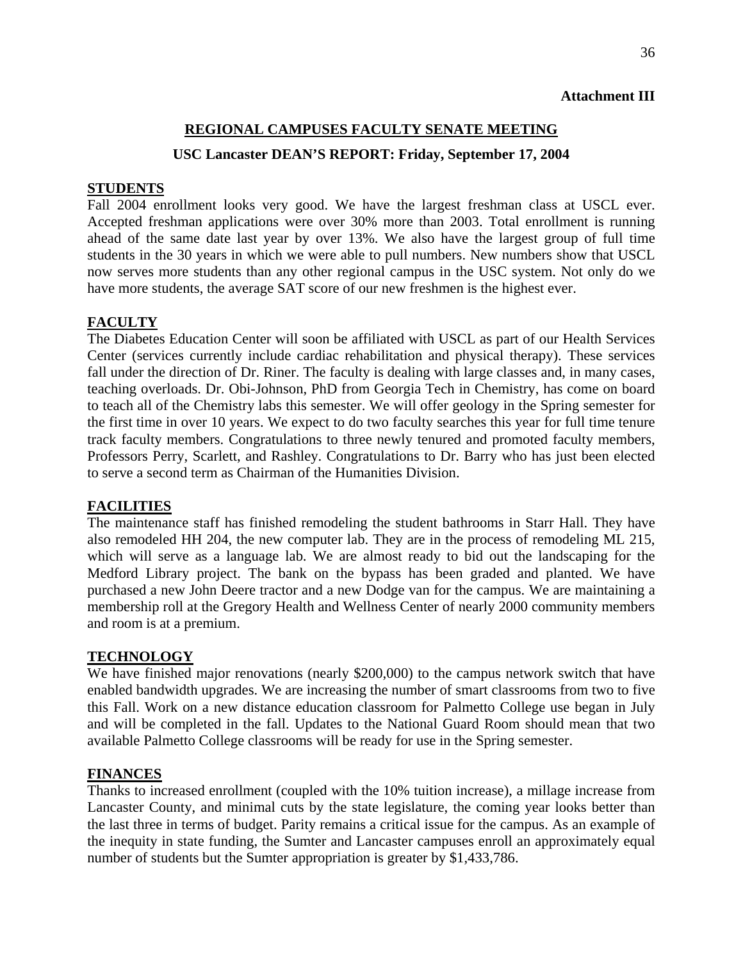# **Attachment III**

# **REGIONAL CAMPUSES FACULTY SENATE MEETING**

# **USC Lancaster DEAN'S REPORT: Friday, September 17, 2004**

#### **STUDENTS**

Fall 2004 enrollment looks very good. We have the largest freshman class at USCL ever. Accepted freshman applications were over 30% more than 2003. Total enrollment is running ahead of the same date last year by over 13%. We also have the largest group of full time students in the 30 years in which we were able to pull numbers. New numbers show that USCL now serves more students than any other regional campus in the USC system. Not only do we have more students, the average SAT score of our new freshmen is the highest ever.

# **FACULTY**

The Diabetes Education Center will soon be affiliated with USCL as part of our Health Services Center (services currently include cardiac rehabilitation and physical therapy). These services fall under the direction of Dr. Riner. The faculty is dealing with large classes and, in many cases, teaching overloads. Dr. Obi-Johnson, PhD from Georgia Tech in Chemistry, has come on board to teach all of the Chemistry labs this semester. We will offer geology in the Spring semester for the first time in over 10 years. We expect to do two faculty searches this year for full time tenure track faculty members. Congratulations to three newly tenured and promoted faculty members, Professors Perry, Scarlett, and Rashley. Congratulations to Dr. Barry who has just been elected to serve a second term as Chairman of the Humanities Division.

#### **FACILITIES**

The maintenance staff has finished remodeling the student bathrooms in Starr Hall. They have also remodeled HH 204, the new computer lab. They are in the process of remodeling ML 215, which will serve as a language lab. We are almost ready to bid out the landscaping for the Medford Library project. The bank on the bypass has been graded and planted. We have purchased a new John Deere tractor and a new Dodge van for the campus. We are maintaining a membership roll at the Gregory Health and Wellness Center of nearly 2000 community members and room is at a premium.

#### **TECHNOLOGY**

We have finished major renovations (nearly \$200,000) to the campus network switch that have enabled bandwidth upgrades. We are increasing the number of smart classrooms from two to five this Fall. Work on a new distance education classroom for Palmetto College use began in July and will be completed in the fall. Updates to the National Guard Room should mean that two available Palmetto College classrooms will be ready for use in the Spring semester.

# **FINANCES**

Thanks to increased enrollment (coupled with the 10% tuition increase), a millage increase from Lancaster County, and minimal cuts by the state legislature, the coming year looks better than the last three in terms of budget. Parity remains a critical issue for the campus. As an example of the inequity in state funding, the Sumter and Lancaster campuses enroll an approximately equal number of students but the Sumter appropriation is greater by \$1,433,786.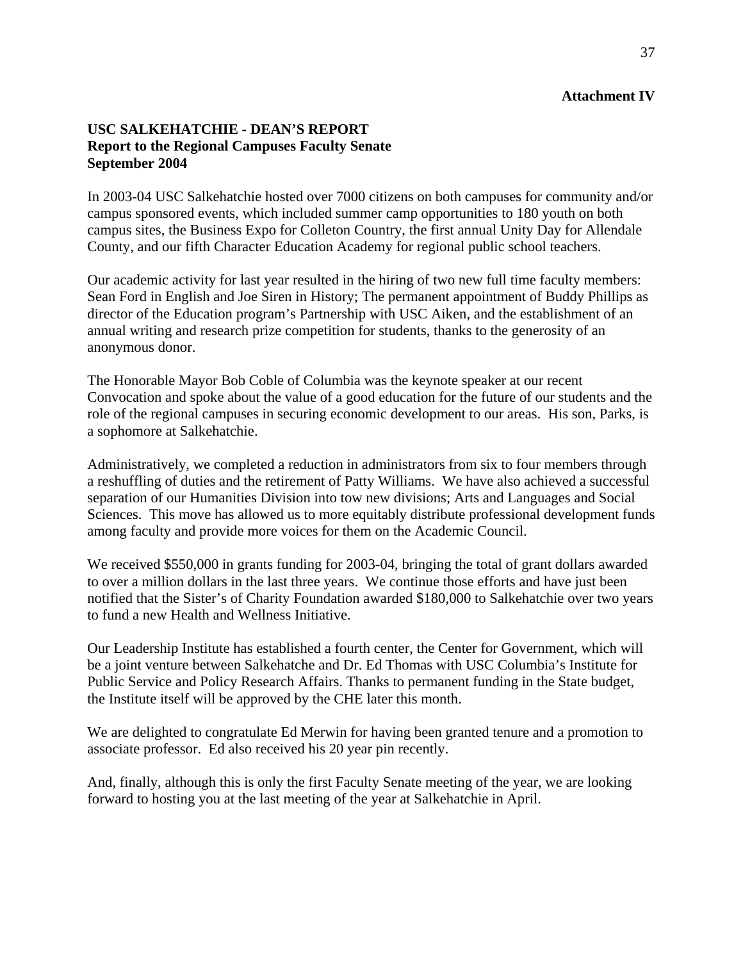### **Attachment IV**

### **USC SALKEHATCHIE - DEAN'S REPORT Report to the Regional Campuses Faculty Senate September 2004**

In 2003-04 USC Salkehatchie hosted over 7000 citizens on both campuses for community and/or campus sponsored events, which included summer camp opportunities to 180 youth on both campus sites, the Business Expo for Colleton Country, the first annual Unity Day for Allendale County, and our fifth Character Education Academy for regional public school teachers.

Our academic activity for last year resulted in the hiring of two new full time faculty members: Sean Ford in English and Joe Siren in History; The permanent appointment of Buddy Phillips as director of the Education program's Partnership with USC Aiken, and the establishment of an annual writing and research prize competition for students, thanks to the generosity of an anonymous donor.

The Honorable Mayor Bob Coble of Columbia was the keynote speaker at our recent Convocation and spoke about the value of a good education for the future of our students and the role of the regional campuses in securing economic development to our areas. His son, Parks, is a sophomore at Salkehatchie.

Administratively, we completed a reduction in administrators from six to four members through a reshuffling of duties and the retirement of Patty Williams. We have also achieved a successful separation of our Humanities Division into tow new divisions; Arts and Languages and Social Sciences. This move has allowed us to more equitably distribute professional development funds among faculty and provide more voices for them on the Academic Council.

We received \$550,000 in grants funding for 2003-04, bringing the total of grant dollars awarded to over a million dollars in the last three years. We continue those efforts and have just been notified that the Sister's of Charity Foundation awarded \$180,000 to Salkehatchie over two years to fund a new Health and Wellness Initiative.

Our Leadership Institute has established a fourth center, the Center for Government, which will be a joint venture between Salkehatche and Dr. Ed Thomas with USC Columbia's Institute for Public Service and Policy Research Affairs. Thanks to permanent funding in the State budget, the Institute itself will be approved by the CHE later this month.

We are delighted to congratulate Ed Merwin for having been granted tenure and a promotion to associate professor. Ed also received his 20 year pin recently.

And, finally, although this is only the first Faculty Senate meeting of the year, we are looking forward to hosting you at the last meeting of the year at Salkehatchie in April.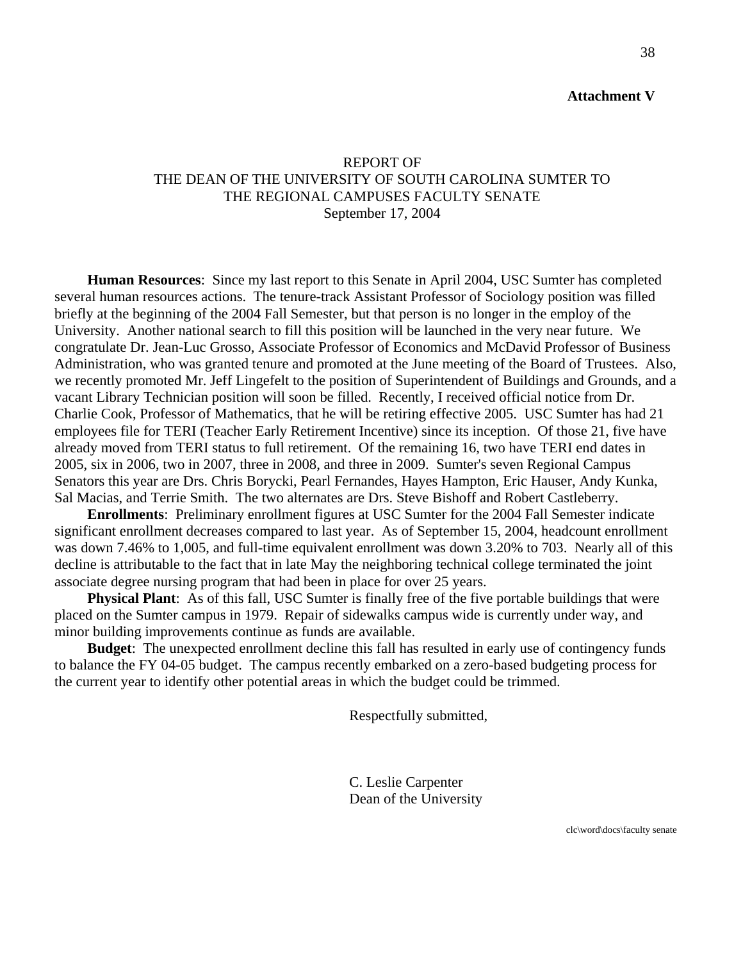#### **Attachment V**

# REPORT OF THE DEAN OF THE UNIVERSITY OF SOUTH CAROLINA SUMTER TO THE REGIONAL CAMPUSES FACULTY SENATE September 17, 2004

**Human Resources**: Since my last report to this Senate in April 2004, USC Sumter has completed several human resources actions. The tenure-track Assistant Professor of Sociology position was filled briefly at the beginning of the 2004 Fall Semester, but that person is no longer in the employ of the University. Another national search to fill this position will be launched in the very near future. We congratulate Dr. Jean-Luc Grosso, Associate Professor of Economics and McDavid Professor of Business Administration, who was granted tenure and promoted at the June meeting of the Board of Trustees. Also, we recently promoted Mr. Jeff Lingefelt to the position of Superintendent of Buildings and Grounds, and a vacant Library Technician position will soon be filled. Recently, I received official notice from Dr. Charlie Cook, Professor of Mathematics, that he will be retiring effective 2005. USC Sumter has had 21 employees file for TERI (Teacher Early Retirement Incentive) since its inception. Of those 21, five have already moved from TERI status to full retirement. Of the remaining 16, two have TERI end dates in 2005, six in 2006, two in 2007, three in 2008, and three in 2009. Sumter's seven Regional Campus Senators this year are Drs. Chris Borycki, Pearl Fernandes, Hayes Hampton, Eric Hauser, Andy Kunka, Sal Macias, and Terrie Smith. The two alternates are Drs. Steve Bishoff and Robert Castleberry.

**Enrollments**: Preliminary enrollment figures at USC Sumter for the 2004 Fall Semester indicate significant enrollment decreases compared to last year. As of September 15, 2004, headcount enrollment was down 7.46% to 1,005, and full-time equivalent enrollment was down 3.20% to 703. Nearly all of this decline is attributable to the fact that in late May the neighboring technical college terminated the joint associate degree nursing program that had been in place for over 25 years.

**Physical Plant**: As of this fall, USC Sumter is finally free of the five portable buildings that were placed on the Sumter campus in 1979. Repair of sidewalks campus wide is currently under way, and minor building improvements continue as funds are available.

**Budget**: The unexpected enrollment decline this fall has resulted in early use of contingency funds to balance the FY 04-05 budget. The campus recently embarked on a zero-based budgeting process for the current year to identify other potential areas in which the budget could be trimmed.

Respectfully submitted,

 C. Leslie Carpenter Dean of the University

clc\word\docs\faculty senate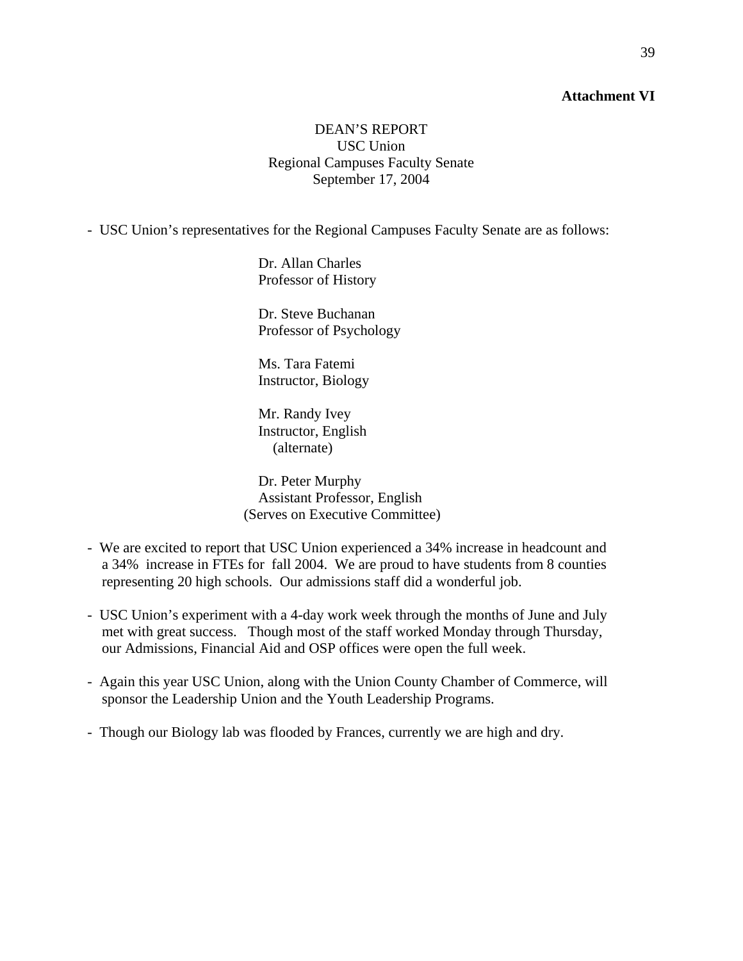#### **Attachment VI**

# DEAN'S REPORT USC Union Regional Campuses Faculty Senate September 17, 2004

- USC Union's representatives for the Regional Campuses Faculty Senate are as follows:

 Dr. Allan Charles Professor of History

 Dr. Steve Buchanan Professor of Psychology

 Ms. Tara Fatemi Instructor, Biology

 Mr. Randy Ivey Instructor, English (alternate)

 Dr. Peter Murphy Assistant Professor, English (Serves on Executive Committee)

- We are excited to report that USC Union experienced a 34% increase in headcount and a 34% increase in FTEs for fall 2004. We are proud to have students from 8 counties representing 20 high schools. Our admissions staff did a wonderful job.
- USC Union's experiment with a 4-day work week through the months of June and July met with great success. Though most of the staff worked Monday through Thursday, our Admissions, Financial Aid and OSP offices were open the full week.
- Again this year USC Union, along with the Union County Chamber of Commerce, will sponsor the Leadership Union and the Youth Leadership Programs.
- Though our Biology lab was flooded by Frances, currently we are high and dry.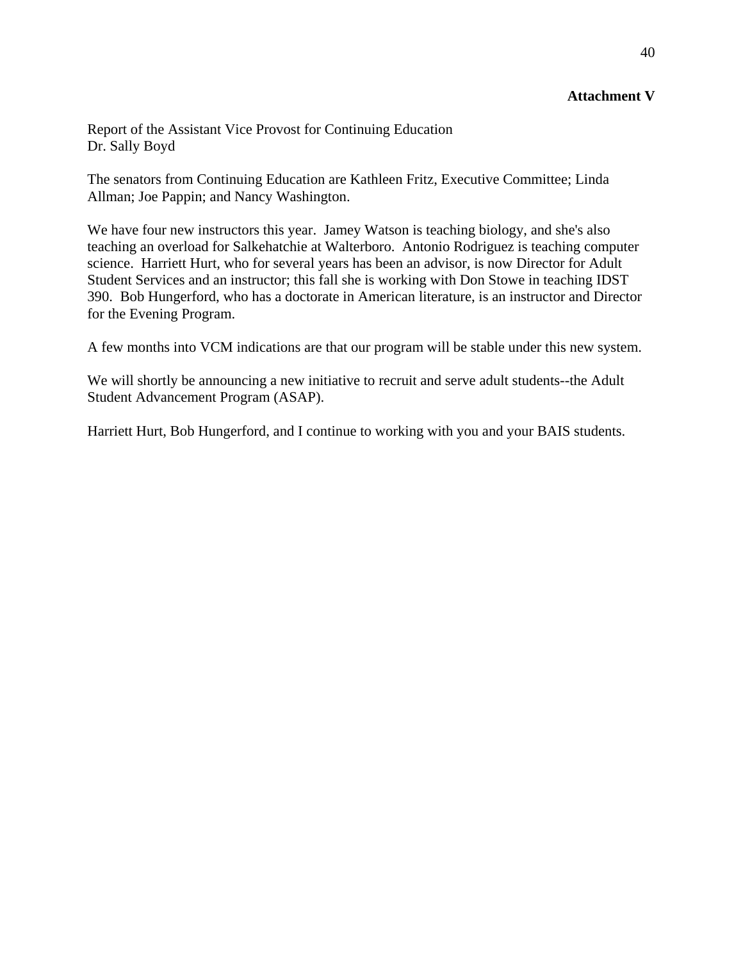### **Attachment V**

Report of the Assistant Vice Provost for Continuing Education Dr. Sally Boyd

The senators from Continuing Education are Kathleen Fritz, Executive Committee; Linda Allman; Joe Pappin; and Nancy Washington.

We have four new instructors this year. Jamey Watson is teaching biology, and she's also teaching an overload for Salkehatchie at Walterboro. Antonio Rodriguez is teaching computer science. Harriett Hurt, who for several years has been an advisor, is now Director for Adult Student Services and an instructor; this fall she is working with Don Stowe in teaching IDST 390. Bob Hungerford, who has a doctorate in American literature, is an instructor and Director for the Evening Program.

A few months into VCM indications are that our program will be stable under this new system.

We will shortly be announcing a new initiative to recruit and serve adult students--the Adult Student Advancement Program (ASAP).

Harriett Hurt, Bob Hungerford, and I continue to working with you and your BAIS students.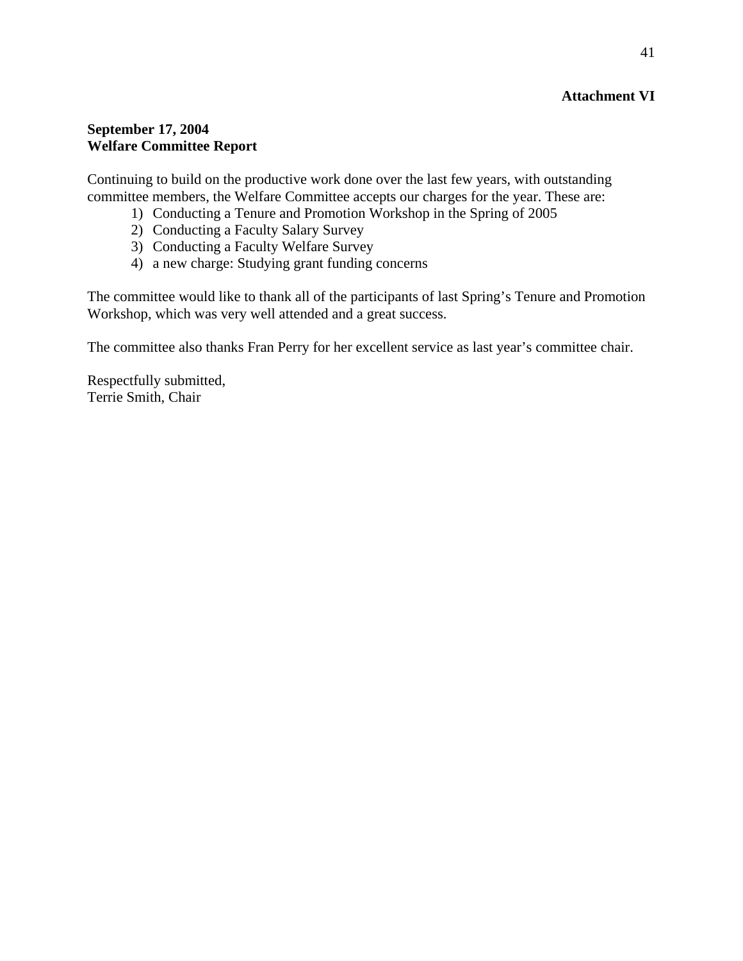# **Attachment VI**

# **September 17, 2004 Welfare Committee Report**

Continuing to build on the productive work done over the last few years, with outstanding committee members, the Welfare Committee accepts our charges for the year. These are:

- 1) Conducting a Tenure and Promotion Workshop in the Spring of 2005
- 2) Conducting a Faculty Salary Survey
- 3) Conducting a Faculty Welfare Survey
- 4) a new charge: Studying grant funding concerns

The committee would like to thank all of the participants of last Spring's Tenure and Promotion Workshop, which was very well attended and a great success.

The committee also thanks Fran Perry for her excellent service as last year's committee chair.

Respectfully submitted, Terrie Smith, Chair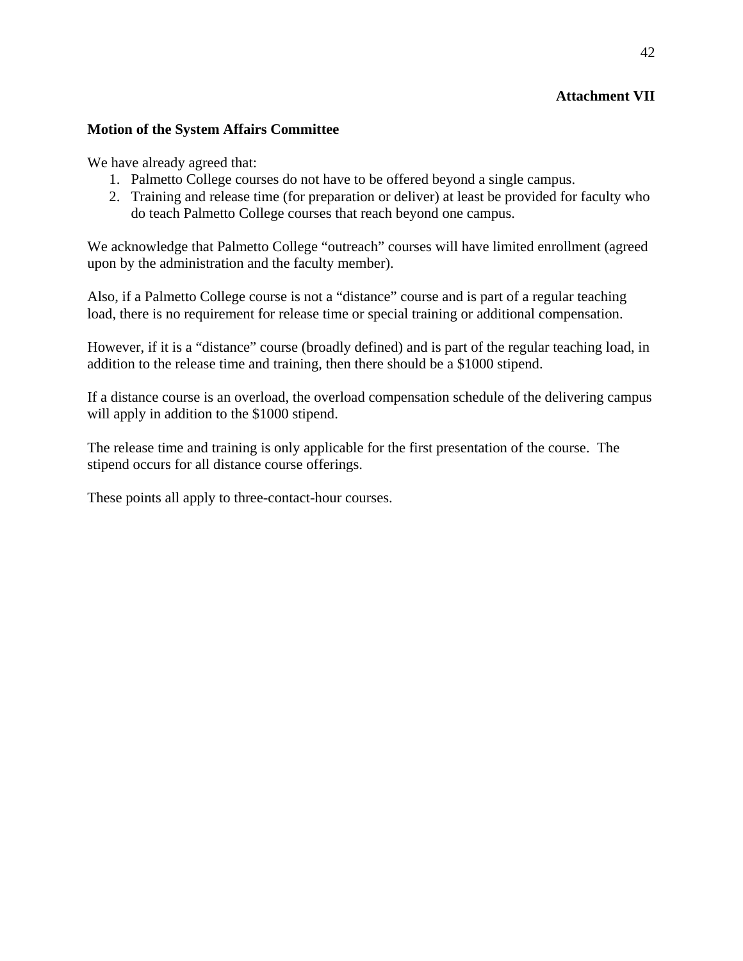# **Attachment VII**

# **Motion of the System Affairs Committee**

We have already agreed that:

- 1. Palmetto College courses do not have to be offered beyond a single campus.
- 2. Training and release time (for preparation or deliver) at least be provided for faculty who do teach Palmetto College courses that reach beyond one campus.

We acknowledge that Palmetto College "outreach" courses will have limited enrollment (agreed upon by the administration and the faculty member).

Also, if a Palmetto College course is not a "distance" course and is part of a regular teaching load, there is no requirement for release time or special training or additional compensation.

However, if it is a "distance" course (broadly defined) and is part of the regular teaching load, in addition to the release time and training, then there should be a \$1000 stipend.

If a distance course is an overload, the overload compensation schedule of the delivering campus will apply in addition to the \$1000 stipend.

The release time and training is only applicable for the first presentation of the course. The stipend occurs for all distance course offerings.

These points all apply to three-contact-hour courses.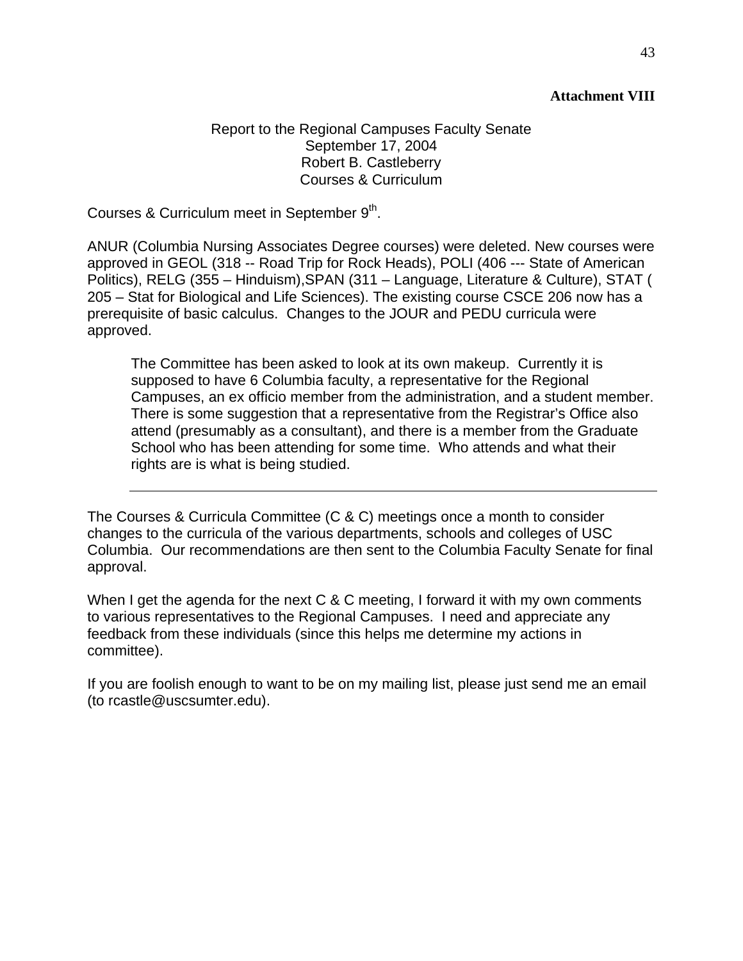# **Attachment VIII**

### Report to the Regional Campuses Faculty Senate September 17, 2004 Robert B. Castleberry Courses & Curriculum

Courses & Curriculum meet in September 9<sup>th</sup>.

ANUR (Columbia Nursing Associates Degree courses) were deleted. New courses were approved in GEOL (318 -- Road Trip for Rock Heads), POLI (406 --- State of American Politics), RELG (355 – Hinduism),SPAN (311 – Language, Literature & Culture), STAT ( 205 – Stat for Biological and Life Sciences). The existing course CSCE 206 now has a prerequisite of basic calculus. Changes to the JOUR and PEDU curricula were approved.

The Committee has been asked to look at its own makeup. Currently it is supposed to have 6 Columbia faculty, a representative for the Regional Campuses, an ex officio member from the administration, and a student member. There is some suggestion that a representative from the Registrar's Office also attend (presumably as a consultant), and there is a member from the Graduate School who has been attending for some time. Who attends and what their rights are is what is being studied.

The Courses & Curricula Committee (C & C) meetings once a month to consider changes to the curricula of the various departments, schools and colleges of USC Columbia. Our recommendations are then sent to the Columbia Faculty Senate for final approval.

When I get the agenda for the next C & C meeting, I forward it with my own comments to various representatives to the Regional Campuses. I need and appreciate any feedback from these individuals (since this helps me determine my actions in committee).

If you are foolish enough to want to be on my mailing list, please just send me an email (to rcastle@uscsumter.edu).